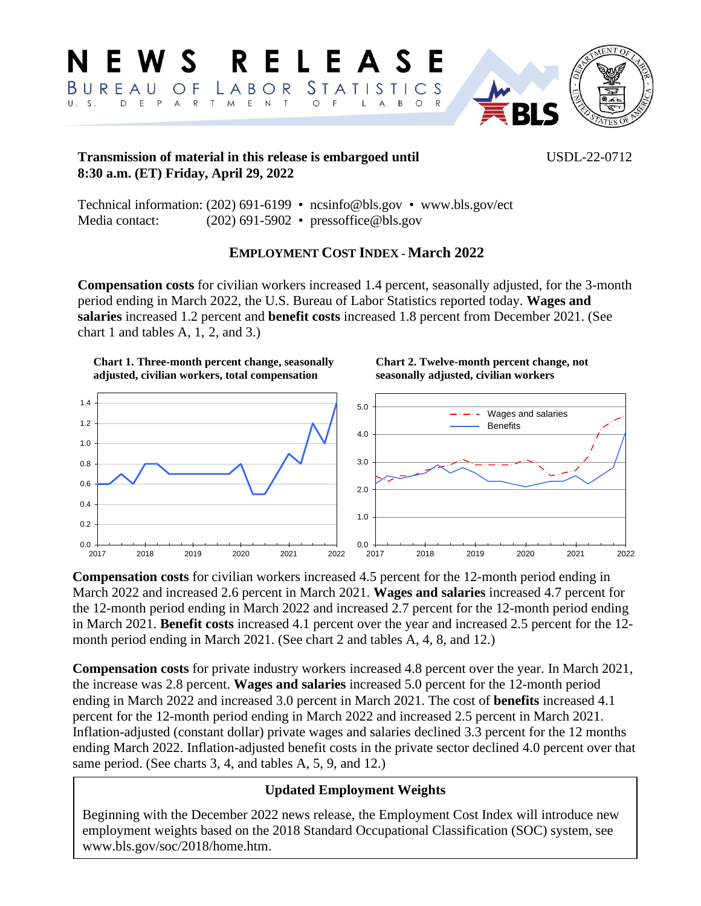

## **Transmission of material in this release is embargoed until** USDL-22-0712 **8:30 a.m. (ET) Friday, April 29, 2022**

Technical information: (202) 691[-6199 • ncsinfo@bls.gov](mailto:ncsinfo@bls.gov) • [www.bls.gov/ect](https://www.bls.gov/ect) Media contact: (202) 691-5902 • [pressoffice@bls.gov](mailto:pressoffice@bls.gov)

## **EMPLOYMENT COST INDEX - March 2022**

**Compensation costs** for civilian workers increased 1.4 percent, seasonally adjusted, for the 3-month period ending in March 2022, the U.S. Bureau of Labor Statistics reported today. **Wages and salaries** increased 1.2 percent and **benefit costs** increased 1.8 percent from December 2021. (See chart 1 and tables A, 1, 2, and 3.)

### **Chart 1. Three-month percent change, seasonally adjusted, civilian workers, total compensation**

### **Chart 2. Twelve-month percent change, not seasonally adjusted, civilian workers**



**Compensation costs** for civilian workers increased 4.5 percent for the 12-month period ending in March 2022 and increased 2.6 percent in March 2021. **Wages and salaries** increased 4.7 percent for the 12-month period ending in March 2022 and increased 2.7 percent for the 12-month period ending in March 2021. **Benefit costs** increased 4.1 percent over the year and increased 2.5 percent for the 12 month period ending in March 2021. (See chart 2 and tables A, 4, 8, and 12.)

**Compensation costs** for private industry workers increased 4.8 percent over the year. In March 2021, the increase was 2.8 percent. **Wages and salaries** increased 5.0 percent for the 12-month period ending in March 2022 and increased 3.0 percent in March 2021. The cost of **benefits** increased 4.1 percent for the 12-month period ending in March 2022 and increased 2.5 percent in March 2021. Inflation-adjusted (constant dollar) private wages and salaries declined 3.3 percent for the 12 months ending March 2022. Inflation-adjusted benefit costs in the private sector declined 4.0 percent over that same period. (See charts 3, 4, and tables A, 5, 9, and 12.)

# **Updated Employment Weights**

Beginning with the December 2022 news release, the Employment Cost Index will introduce new employment weights based on the 2018 Standard Occupational Classification (SOC) system, see www[.bls.gov/soc/2018/home.htm.](https://www.bls.gov/soc/2018/home.htm)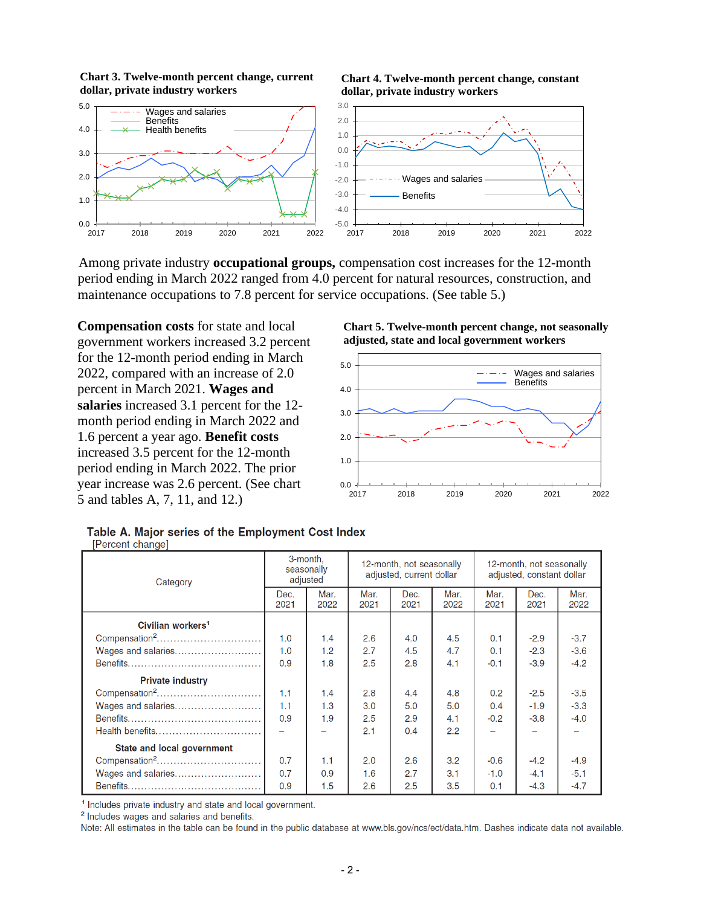





Among private industry **occupational groups,** compensation cost increases for the 12-month period ending in March 2022 ranged from 4.0 percent for natural resources, construction, and maintenance occupations to 7.8 percent for service occupations. (See table 5.)

**Compensation costs** for state and local government workers increased 3.2 percent for the 12-month period ending in March 2022, compared with an increase of 2.0 percent in March 2021. **Wages and salaries** increased 3.1 percent for the 12 month period ending in March 2022 and 1.6 percent a year ago. **Benefit costs**  increased 3.5 percent for the 12-month period ending in March 2022. The prior year increase was 2.6 percent. (See chart 5 and tables A, 7, 11, and 12.)





|  |                  |  | Table A. Major series of the Employment Cost Index |  |  |
|--|------------------|--|----------------------------------------------------|--|--|
|  | [Percent change] |  |                                                    |  |  |

| Category                      | 3-month.<br>seasonally<br>adjusted |              |              | 12-month, not seasonally<br>adjusted, current dollar |              | 12-month, not seasonally<br>adjusted, constant dollar |              |              |  |
|-------------------------------|------------------------------------|--------------|--------------|------------------------------------------------------|--------------|-------------------------------------------------------|--------------|--------------|--|
|                               | Dec.<br>2021                       | Mar.<br>2022 | Mar.<br>2021 | Dec.<br>2021                                         | Mar.<br>2022 | Mar.<br>2021                                          | Dec.<br>2021 | Mar.<br>2022 |  |
| Civilian workers <sup>1</sup> |                                    |              |              |                                                      |              |                                                       |              |              |  |
| Compensation <sup>2</sup>     | 1.0                                | 1.4          | 2.6          | 4.0                                                  | 4.5          | 0.1                                                   | $-2.9$       | $-3.7$       |  |
| Wages and salaries            | 1.0                                | 1.2          | 2.7          | 4.5                                                  | 4.7          | 0.1                                                   | $-2.3$       | $-3.6$       |  |
|                               | 0.9                                | 1.8          | 2.5          | 2.8                                                  | 4.1          | $-0.1$                                                | $-3.9$       | $-4.2$       |  |
| <b>Private industry</b>       |                                    |              |              |                                                      |              |                                                       |              |              |  |
| Compensation <sup>2</sup>     | 1.1                                | 1.4          | 2.8          | 4.4                                                  | 4.8          | 0.2                                                   | $-2.5$       | $-3.5$       |  |
| Wages and salaries            | 1.1                                | 1.3          | 3.0          | 5.0                                                  | 5.0          | 0.4                                                   | $-1.9$       | $-3.3$       |  |
|                               | 0.9                                | 1.9          | 2.5          | 2.9                                                  | 4.1          | $-0.2$                                                | $-3.8$       | $-4.0$       |  |
|                               |                                    |              | 2.1          | 0.4                                                  | 2.2          |                                                       |              |              |  |
| State and local government    |                                    |              |              |                                                      |              |                                                       |              |              |  |
| Compensation <sup>2</sup>     | 0.7                                | 1.1          | 2.0          | 2.6                                                  | 3.2          | $-0.6$                                                | $-4.2$       | $-4.9$       |  |
| Wages and salaries            | 0.7                                | 0.9          | 1.6          | 2.7                                                  | 3.1          | $-1.0$                                                | $-4.1$       | $-5.1$       |  |
|                               | 0.9                                | 1.5          | 2.6          | 2.5                                                  | 3.5          | 0.1                                                   | $-4.3$       | $-4.7$       |  |

<sup>1</sup> Includes private industry and state and local government.

<sup>2</sup> Includes wages and salaries and benefits.

Note: All estimates in the table can be found in the public database at www.bls.gov/ncs/ect/data.htm. Dashes indicate data not available.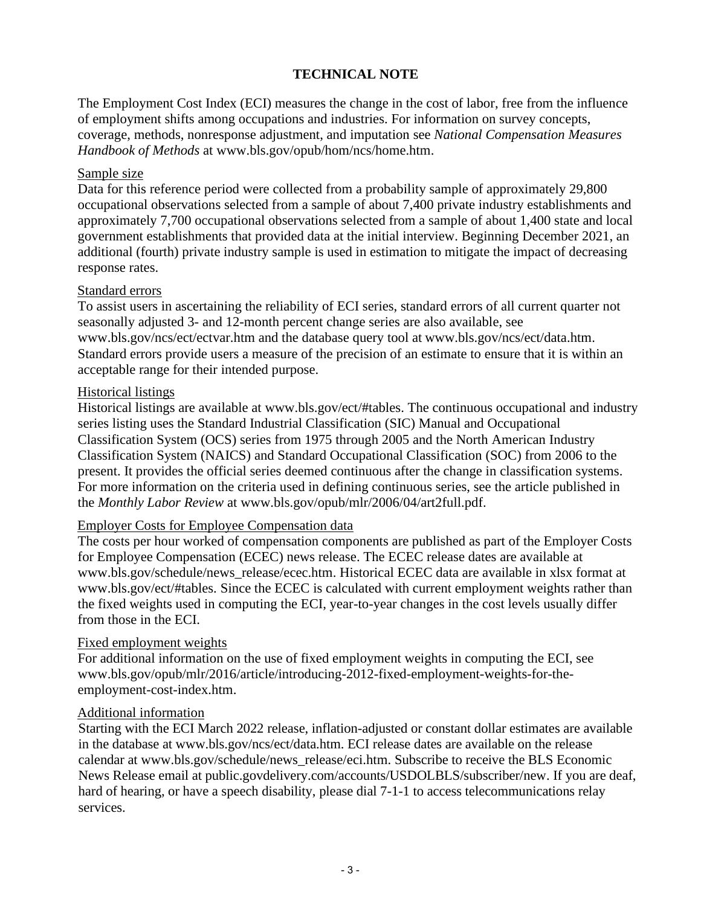## **TECHNICAL NOTE**

The Employment Cost Index (ECI) measures the change in the cost of labor, free from the influence of employment shifts among occupations and industries. For information on survey concepts, coverage, methods, nonresponse adjustment, and imputation see *National Compensation Measures Handbook of Methods* at [www.bls.gov/opub/hom/ncs/home.htm.](https://www.bls.gov/opub/hom/ncs/home.htm)

### Sample size

Data for this reference period were collected from a probability sample of approximately 29,800 occupational observations selected from a sample of about 7,400 private industry establishments and approximately 7,700 occupational observations selected from a sample of about 1,400 state and local government establishments that provided data at the initial interview. Beginning December 2021, an additional (fourth) private industry sample is used in estimation to mitigate the impact of decreasing response rates.

### Standard errors

To assist users in ascertaining the reliability of ECI series, standard errors of all current quarter not seasonally adjusted 3- and 12-month percent change series are also available, se[e](https://www.bls.gov/ncs/ect/ectvar.htm) [www.bls.gov/ncs/ect/ectvar.htm](https://www.bls.gov/ncs/ect/ectvar.htm) and the database query tool at [www.bls.gov/ncs/ect/data.htm.](https://www.bls.gov/ncs/ect/data.htm) Standard errors provide users a measure of the precision of an estimate to ensure that it is within an acceptable range for their intended purpose.

## Historical listings

Historical listings are available at [www.bls.gov/ect/#tables.](https://www.bls.gov/ect/#tables) The continuous occupational and industry series listing uses the Standard Industrial Classification (SIC) Manual and Occupational Classification System (OCS) series from 1975 through 2005 and the North American Industry Classification System (NAICS) and Standard Occupational Classification (SOC) from 2006 to the present. It provides the official series deemed continuous after the change in classification systems. For more information on the criteria used in defining continuous series, see the article published in the *Monthly Labor Review* at [www.bls.gov/opub/mlr/2006/04/art2full.pdf.](https://www.bls.gov/opub/mlr/2006/04/art2full.pdf)

## Employer Costs for Employee Compensation data

The costs per hour worked of compensation components are published as part of the Employer Costs for Employee Compensation (ECEC) news release. The ECEC release dates are available at [www.bls.gov/schedule/news\\_release/ecec.htm.](https://www.bls.gov/schedule/news_release/ecec.htm) Historical ECEC data are available in xlsx format at [www.bls.gov/ect/#tables.](https://www.bls.gov/ect/#tables) Since the ECEC is calculated with current employment weights rather than the fixed weights used in computing the ECI, year-to-year changes in the cost levels usually differ from those in the ECI.

## Fixed employment weights

For additional information on the use of fixed employment weights in computing the ECI, see [www.bls.gov/opub/mlr/2016/article/introducing-2012-fixed-employment-weights-for-the](https://www.bls.gov/opub/mlr/2016/article/introducing-2012-fixed-employment-weights-for-the-employment-cost-index.htm)[employment-cost-index.htm.](https://www.bls.gov/opub/mlr/2016/article/introducing-2012-fixed-employment-weights-for-the-employment-cost-index.htm)

### Additional information

Starting with the ECI March 2022 release, inflation-adjusted or constant dollar estimates are available in the database at [www.bls.gov/ncs/ect/data.htm.](https://www.bls.gov/ncs/ect/data.htm) ECI release dates are available on the release calendar at [www.bls.gov/schedule/news\\_release/eci.htm.](https://www.bls.gov/schedule/news_release/eci.htm) Subscribe to receive the BLS Economic News Release email at [public.govdelivery.com/accounts/USDOLBLS/subscriber/new.](https://public.govdelivery.com/accounts/USDOLBLS/subscriber/new) If you are deaf, hard of hearing, or have a speech disability, please dial 7-1-1 to access telecommunications relay services.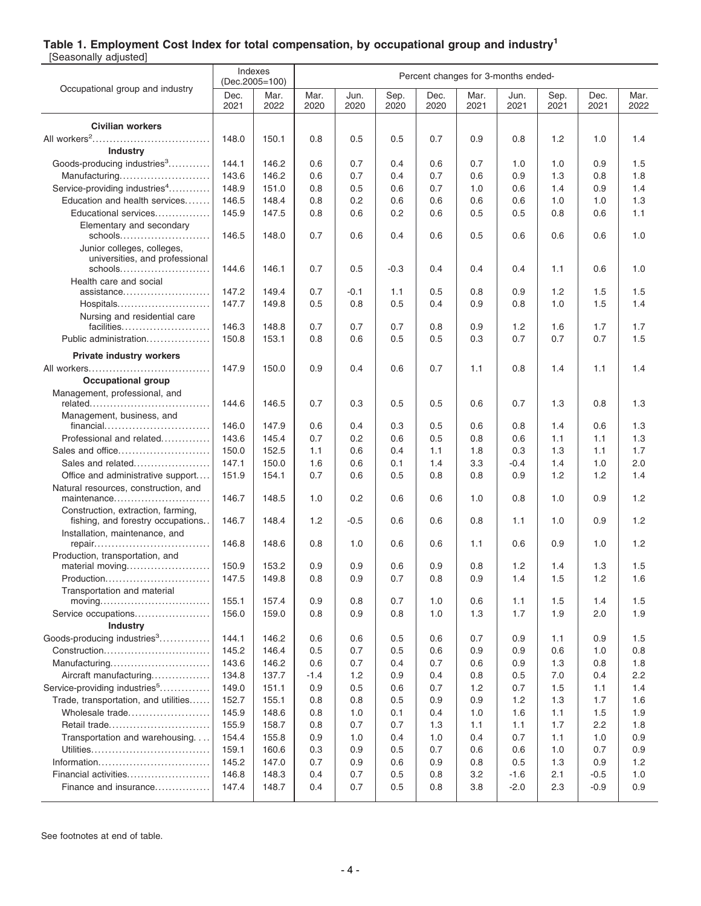### **Table 1. Employment Cost Index for total compensation, by occupational group and industry<sup>1</sup>**

[Seasonally adjusted]

|                                                                                                     |                | Indexes<br>(Dec.2005=100) |              |              |              | Percent changes for 3-months ended- |              |              |              |              |              |
|-----------------------------------------------------------------------------------------------------|----------------|---------------------------|--------------|--------------|--------------|-------------------------------------|--------------|--------------|--------------|--------------|--------------|
| Occupational group and industry                                                                     | Dec.<br>2021   | Mar.<br>2022              | Mar.<br>2020 | Jun.<br>2020 | Sep.<br>2020 | Dec.<br>2020                        | Mar.<br>2021 | Jun.<br>2021 | Sep.<br>2021 | Dec.<br>2021 | Mar.<br>2022 |
| <b>Civilian workers</b>                                                                             |                |                           |              |              |              |                                     |              |              |              |              |              |
|                                                                                                     | 148.0          | 150.1                     | 0.8          | 0.5          | 0.5          | 0.7                                 | 0.9          | 0.8          | 1.2          | 1.0          | 1.4          |
| <b>Industry</b>                                                                                     |                |                           |              |              |              |                                     |              |              |              |              |              |
| Goods-producing industries <sup>3</sup>                                                             | 144.1          | 146.2                     | 0.6          | 0.7          | 0.4          | 0.6                                 | 0.7          | 1.0          | 1.0          | 0.9          | 1.5          |
| Manufacturing                                                                                       | 143.6          | 146.2                     | 0.6          | 0.7          | 0.4          | 0.7                                 | 0.6          | 0.9          | 1.3          | 0.8          | 1.8          |
| Service-providing industries <sup>4</sup>                                                           | 148.9          | 151.0                     | 0.8          | 0.5          | 0.6          | 0.7                                 | 1.0          | 0.6          | 1.4          | 0.9          | 1.4          |
| Education and health services                                                                       | 146.5          | 148.4                     | 0.8          | 0.2          | 0.6          | 0.6                                 | 0.6          | 0.6          | 1.0          | 1.0          | 1.3          |
| Educational services                                                                                | 145.9          | 147.5                     | 0.8          | 0.6          | 0.2          | 0.6                                 | 0.5          | 0.5          | 0.8          | 0.6          | 1.1          |
| Elementary and secondary                                                                            |                |                           |              |              |              |                                     |              |              |              |              |              |
| schools<br>Junior colleges, colleges,<br>universities, and professional                             | 146.5          | 148.0                     | 0.7          | 0.6          | 0.4          | 0.6                                 | 0.5          | 0.6          | 0.6          | 0.6          | 1.0          |
| schools                                                                                             | 144.6          | 146.1                     | 0.7          | 0.5          | $-0.3$       | 0.4                                 | 0.4          | 0.4          | 1.1          | 0.6          | 1.0          |
| Health care and social                                                                              |                |                           |              |              |              |                                     |              |              |              |              |              |
| assistance                                                                                          | 147.2          | 149.4                     | 0.7          | $-0.1$       | 1.1          | 0.5                                 | 0.8          | 0.9          | 1.2          | 1.5          | 1.5          |
| Hospitals                                                                                           | 147.7          | 149.8                     | 0.5          | 0.8          | 0.5          | 0.4                                 | 0.9          | 0.8          | 1.0          | 1.5          | 1.4          |
| Nursing and residential care                                                                        |                |                           |              |              |              |                                     |              |              |              |              |              |
| facilities<br>Public administration                                                                 | 146.3<br>150.8 | 148.8<br>153.1            | 0.7<br>0.8   | 0.7<br>0.6   | 0.7<br>0.5   | 0.8<br>0.5                          | 0.9<br>0.3   | 1.2<br>0.7   | 1.6<br>0.7   | 1.7<br>0.7   | 1.7<br>1.5   |
|                                                                                                     |                |                           |              |              |              |                                     |              |              |              |              |              |
| <b>Private industry workers</b>                                                                     |                |                           |              |              |              |                                     |              |              |              |              |              |
|                                                                                                     | 147.9          | 150.0                     | 0.9          | 0.4          | 0.6          | 0.7                                 | 1.1          | 0.8          | 1.4          | 1.1          | 1.4          |
| <b>Occupational group</b>                                                                           |                |                           |              |              |              |                                     |              |              |              |              |              |
| Management, professional, and                                                                       | 144.6          | 146.5                     | 0.7          | 0.3          | 0.5          | 0.5                                 | 0.6          | 0.7          | 1.3          | 0.8          | 1.3          |
| Management, business, and                                                                           |                |                           |              |              |              |                                     |              |              |              |              |              |
| financial                                                                                           | 146.0          | 147.9                     | 0.6          | 0.4          | 0.3          | 0.5                                 | 0.6          | 0.8          | 1.4          | 0.6          | 1.3          |
| Professional and related                                                                            | 143.6          | 145.4                     | 0.7          | 0.2          | 0.6          | 0.5                                 | 0.8          | 0.6          | 1.1          | 1.1          | 1.3          |
| Sales and office                                                                                    | 150.0          | 152.5                     | 1.1          | 0.6          | 0.4          | 1.1                                 | 1.8          | 0.3          | 1.3          | 1.1          | 1.7          |
| Sales and related                                                                                   | 147.1          | 150.0                     | 1.6          | 0.6          | 0.1          | 1.4                                 | 3.3          | $-0.4$       | 1.4          | 1.0          | 2.0          |
| Office and administrative support                                                                   | 151.9          | 154.1                     | 0.7          | 0.6          | 0.5          | 0.8                                 | 0.8          | 0.9          | 1.2          | 1.2          | 1.4          |
| Natural resources, construction, and<br>maintenance                                                 | 146.7          | 148.5                     | 1.0          | 0.2          | 0.6          | 0.6                                 | 1.0          | 0.8          | 1.0          | 0.9          | 1.2          |
| Construction, extraction, farming,<br>fishing, and forestry occupations                             | 146.7          | 148.4                     | 1.2          | $-0.5$       | 0.6          | 0.6                                 | 0.8          | 1.1          | 1.0          | 0.9          | 1.2          |
| Installation, maintenance, and<br>repair                                                            | 146.8          | 148.6                     | 0.8          | 1.0          | 0.6          | 0.6                                 | 1.1          | 0.6          | 0.9          | 1.0          | 1.2          |
| Production, transportation, and                                                                     |                |                           |              |              |              |                                     |              |              |              |              |              |
| material moving                                                                                     | 150.9          | 153.2                     | 0.9          | 0.9          | 0.6          | 0.9                                 | 0.8          | 1.2          | 1.4          | 1.3          | 1.5          |
| Production                                                                                          | 147.5          | 149.8                     | 0.8          | 0.9          | 0.7          | 0.8                                 | 0.9          | 1.4          | 1.5          | 1.2          | 1.6          |
| Transportation and material<br>$moving \dots \dots \dots \dots \dots \dots \dots \dots \dots \dots$ | 155.1          | 157.4                     | 0.9          | 0.8          | 0.7          | 1.0                                 | 0.6          | 1.1          | 1.5          | 1.4          | 1.5          |
| Service occupations                                                                                 | 156.0          | 159.0                     | 0.8          | 0.9          | 0.8          | 1.0                                 | 1.3          | 1.7          | 1.9          | 2.0          | 1.9          |
| <b>Industry</b>                                                                                     |                |                           |              |              |              |                                     |              |              |              |              |              |
| Goods-producing industries <sup>3</sup>                                                             | 144.1          | 146.2                     | 0.6          | 0.6          | 0.5          | 0.6                                 | 0.7          | 0.9          | 1.1          | 0.9          | 1.5          |
| Construction                                                                                        | 145.2          | 146.4                     | 0.5          | 0.7          | 0.5          | 0.6                                 | 0.9          | 0.9          | 0.6          | 1.0          | 0.8          |
| Manufacturing                                                                                       | 143.6          | 146.2                     | 0.6          | 0.7          | 0.4          | 0.7                                 | 0.6          | 0.9          | 1.3          | 0.8          | 1.8          |
| Aircraft manufacturing                                                                              | 134.8          | 137.7                     | $-1.4$       | 1.2          | 0.9          | 0.4                                 | 0.8          | 0.5          | 7.0          | 0.4          | $2.2\,$      |
| Service-providing industries <sup>5</sup>                                                           | 149.0          | 151.1                     | 0.9          | 0.5          | 0.6          | 0.7                                 | 1.2          | 0.7          | 1.5          | 1.1          | 1.4          |
| Trade, transportation, and utilities                                                                | 152.7          | 155.1                     | 0.8          | 0.8          | 0.5          | 0.9                                 | 0.9          | 1.2          | 1.3          | 1.7          | 1.6          |
| Wholesale trade                                                                                     | 145.9          | 148.6                     | 0.8          | 1.0          | 0.1          | 0.4                                 | 1.0          | 1.6          | 1.1          | 1.5          | 1.9          |
| Retail trade                                                                                        | 155.9          | 158.7                     | 0.8          | 0.7          | 0.7          | 1.3                                 | 1.1          | 1.1          | 1.7          | $2.2\,$      | 1.8          |
| Transportation and warehousing.                                                                     | 154.4          | 155.8                     | 0.9          | 1.0          | 0.4          | 1.0                                 | 0.4          | 0.7          | 1.1          | 1.0          | 0.9          |
|                                                                                                     | 159.1          | 160.6                     | 0.3          | 0.9          | 0.5          | 0.7                                 | 0.6          | 0.6          | 1.0          | 0.7          | 0.9          |
| Information                                                                                         | 145.2          | 147.0                     | 0.7          | 0.9          | 0.6          | 0.9                                 | 0.8          | 0.5          | 1.3          | 0.9          | 1.2          |
| Financial activities                                                                                | 146.8          | 148.3                     | 0.4          | 0.7          | 0.5          | 0.8                                 | 3.2          | $-1.6$       | 2.1          | $-0.5$       | 1.0          |
| Finance and insurance                                                                               | 147.4          | 148.7                     | 0.4          | 0.7          | 0.5          | 0.8                                 | 3.8          | $-2.0$       | 2.3          | $-0.9$       | 0.9          |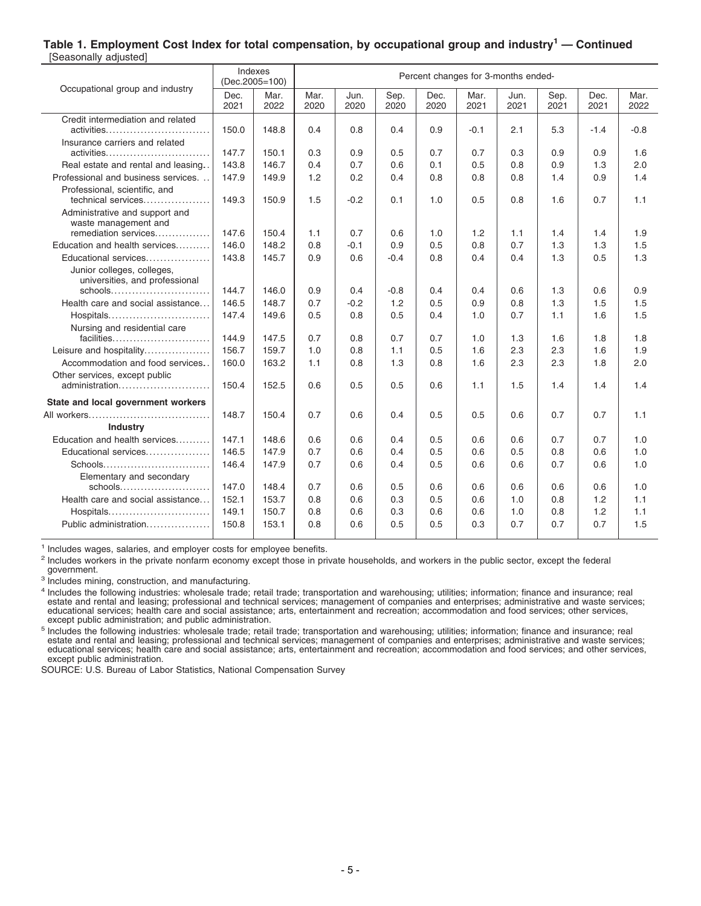#### **Table 1. Employment Cost Index for total compensation, by occupational group and industry<sup>1</sup> — Continued** [Seasonally adjusted]

| Occupational group and industry                              | Indexes<br>(Dec.2005=100) |              |              |              |              |              |              | Percent changes for 3-months ended- |              |              |              |
|--------------------------------------------------------------|---------------------------|--------------|--------------|--------------|--------------|--------------|--------------|-------------------------------------|--------------|--------------|--------------|
|                                                              | Dec.<br>2021              | Mar.<br>2022 | Mar.<br>2020 | Jun.<br>2020 | Sep.<br>2020 | Dec.<br>2020 | Mar.<br>2021 | Jun.<br>2021                        | Sep.<br>2021 | Dec.<br>2021 | Mar.<br>2022 |
| Credit intermediation and related                            |                           |              |              |              |              |              |              |                                     |              |              |              |
| activities                                                   | 150.0                     | 148.8        | 0.4          | 0.8          | 0.4          | 0.9          | $-0.1$       | 2.1                                 | 5.3          | $-1.4$       | $-0.8$       |
| Insurance carriers and related                               |                           |              |              |              |              |              |              |                                     |              |              |              |
| activities                                                   | 147.7                     | 150.1        | 0.3          | 0.9          | 0.5          | 0.7          | 0.7          | 0.3                                 | 0.9          | 0.9          | 1.6          |
| Real estate and rental and leasing                           | 143.8                     | 146.7        | 0.4          | 0.7          | 0.6          | 0.1          | 0.5          | 0.8                                 | 0.9          | 1.3          | 2.0          |
| Professional and business services                           | 147.9                     | 149.9        | 1.2          | 0.2          | 0.4          | 0.8          | 0.8          | 0.8                                 | 1.4          | 0.9          | 1.4          |
| Professional, scientific, and<br>technical services          | 149.3                     | 150.9        | 1.5          | $-0.2$       | 0.1          | 1.0          | 0.5          | 0.8                                 | 1.6          | 0.7          | 1.1          |
| Administrative and support and<br>waste management and       |                           |              |              |              |              |              |              |                                     |              |              |              |
| remediation services                                         | 147.6                     | 150.4        | 1.1          | 0.7          | 0.6          | 1.0          | 1.2          | 1.1                                 | 1.4          | 1.4          | 1.9          |
| Education and health services                                | 146.0                     | 148.2        | 0.8          | $-0.1$       | 0.9          | 0.5          | 0.8          | 0.7                                 | 1.3          | 1.3          | 1.5          |
| Educational services                                         | 143.8                     | 145.7        | 0.9          | 0.6          | $-0.4$       | 0.8          | 0.4          | 0.4                                 | 1.3          | 0.5          | 1.3          |
| Junior colleges, colleges,<br>universities, and professional |                           |              |              |              |              |              |              |                                     |              |              |              |
| schools                                                      | 144.7                     | 146.0        | 0.9          | 0.4          | $-0.8$       | 0.4          | 0.4          | 0.6                                 | 1.3          | 0.6          | 0.9          |
| Health care and social assistance                            | 146.5                     | 148.7        | 0.7          | $-0.2$       | 1.2          | 0.5          | 0.9          | 0.8                                 | 1.3          | 1.5          | 1.5          |
| Hospitals                                                    | 147.4                     | 149.6        | 0.5          | 0.8          | 0.5          | 0.4          | 1.0          | 0.7                                 | 1.1          | 1.6          | 1.5          |
| Nursing and residential care                                 |                           |              |              |              |              |              |              |                                     |              |              |              |
| facilities                                                   | 144.9                     | 147.5        | 0.7          | 0.8          | 0.7          | 0.7          | 1.0          | 1.3                                 | 1.6          | 1.8          | 1.8          |
| Leisure and hospitality                                      | 156.7                     | 159.7        | 1.0          | 0.8          | 1.1          | 0.5          | 1.6          | 2.3                                 | 2.3          | 1.6          | 1.9          |
| Accommodation and food services                              | 160.0                     | 163.2        | 1.1          | 0.8          | 1.3          | 0.8          | 1.6          | 2.3                                 | 2.3          | 1.8          | 2.0          |
| Other services, except public                                |                           |              |              |              |              |              |              |                                     |              |              |              |
| administration                                               | 150.4                     | 152.5        | 0.6          | 0.5          | 0.5          | 0.6          | 1.1          | 1.5                                 | 1.4          | 1.4          | 1.4          |
| State and local government workers                           |                           |              |              |              |              |              |              |                                     |              |              |              |
| All workers                                                  | 148.7                     | 150.4        | 0.7          | 0.6          | 0.4          | 0.5          | 0.5          | 0.6                                 | 0.7          | 0.7          | 1.1          |
| Industry                                                     |                           |              |              |              |              |              |              |                                     |              |              |              |
| Education and health services                                | 147.1                     | 148.6        | 0.6          | 0.6          | 0.4          | 0.5          | 0.6          | 0.6                                 | 0.7          | 0.7          | 1.0          |
| Educational services                                         | 146.5                     | 147.9        | 0.7          | 0.6          | 0.4          | 0.5          | 0.6          | 0.5                                 | 0.8          | 0.6          | 1.0          |
| Schools                                                      | 146.4                     | 147.9        | 0.7          | 0.6          | 0.4          | 0.5          | 0.6          | 0.6                                 | 0.7          | 0.6          | 1.0          |
| Elementary and secondary                                     |                           |              |              |              |              |              |              |                                     |              |              |              |
| schools                                                      | 147.0                     | 148.4        | 0.7          | 0.6          | 0.5          | 0.6          | 0.6          | 0.6                                 | 0.6          | 0.6          | 1.0          |
| Health care and social assistance                            | 152.1                     | 153.7        | 0.8          | 0.6          | 0.3          | 0.5          | 0.6          | 1.0                                 | 0.8          | 1.2          | 1.1          |
| Hospitals                                                    | 149.1                     | 150.7        | 0.8          | 0.6          | 0.3          | 0.6          | 0.6          | 1.0                                 | 0.8          | 1.2          | 1.1          |
| Public administration                                        | 150.8                     | 153.1        | 0.8          | 0.6          | 0.5          | 0.5          | 0.3          | 0.7                                 | 0.7          | 0.7          | 1.5          |

<sup>1</sup> Includes wages, salaries, and employer costs for employee benefits.

<sup>2</sup> Includes workers in the private nonfarm economy except those in private households, and workers in the public sector, except the federal government.

<sup>3</sup> Includes mining, construction, and manufacturing.

4 Includes the following industries: wholesale trade; retail trade; transportation and warehousing; utilities; information; finance and insurance; real estate and rental and leasing; professional and technical services; management of companies and enterprises; administrative and waste services;<br>educational services; health care and social assistance; arts, entertainment a

<sup>5</sup> Includes the following industries: wholesale trade; retail trade; transportation and warehousing; utilities; information; finance and insurance; real estate and rental and leasing; professional and technical services; except public administration.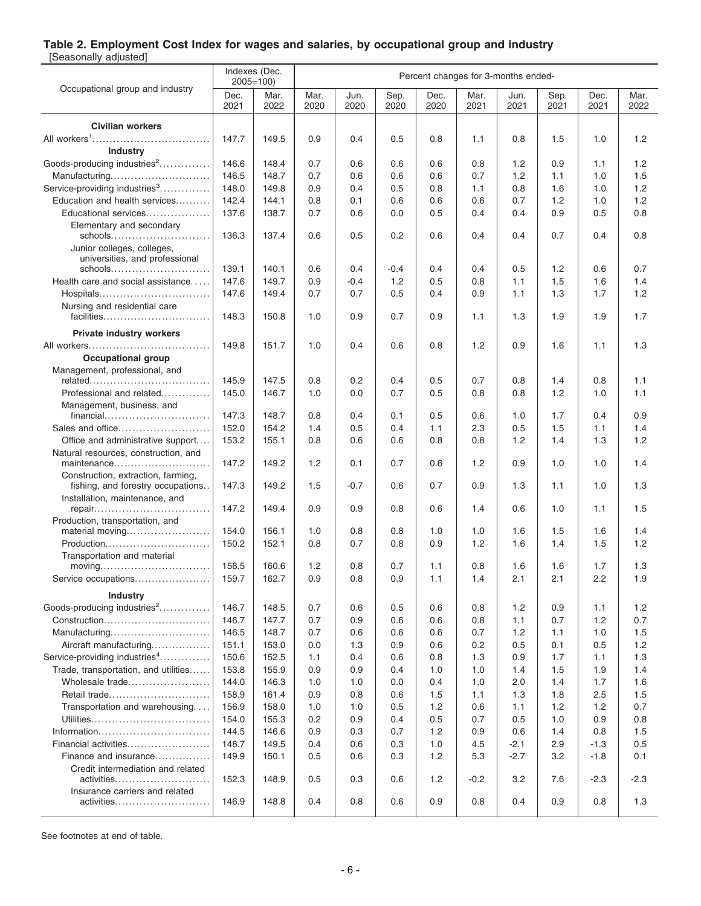### **Table 2. Employment Cost Index for wages and salaries, by occupational group and industry**

[Seasonally adjusted]

|                                                                         | Indexes (Dec. | $2005 = 100$ |              |              |              | Percent changes for 3-months ended- |              |              |              |              |              |
|-------------------------------------------------------------------------|---------------|--------------|--------------|--------------|--------------|-------------------------------------|--------------|--------------|--------------|--------------|--------------|
| Occupational group and industry                                         | Dec.<br>2021  | Mar.<br>2022 | Mar.<br>2020 | Jun.<br>2020 | Sep.<br>2020 | Dec.<br>2020                        | Mar.<br>2021 | Jun.<br>2021 | Sep.<br>2021 | Dec.<br>2021 | Mar.<br>2022 |
| <b>Civilian workers</b>                                                 |               |              |              |              |              |                                     |              |              |              |              |              |
|                                                                         | 147.7         | 149.5        | 0.9          | 0.4          | 0.5          | 0.8                                 | 1.1          | 0.8          | 1.5          | 1.0          | 1.2          |
| <b>Industry</b>                                                         |               |              |              |              |              |                                     |              |              |              |              |              |
| Goods-producing industries <sup>2</sup>                                 | 146.6         | 148.4        | 0.7          | 0.6          | 0.6          | 0.6                                 | 0.8          | 1.2          | 0.9          | 1.1          | 1.2          |
| Manufacturing                                                           | 146.5         | 148.7        | 0.7          | 0.6          | 0.6          | 0.6                                 | 0.7          | 1.2          | 1.1          | 1.0          | 1.5          |
| Service-providing industries <sup>3</sup>                               | 148.0         | 149.8        | 0.9          | 0.4          | 0.5          | 0.8                                 | 1.1          | 0.8          | 1.6          | 1.0          | 1.2          |
| Education and health services                                           | 142.4         | 144.1        | 0.8          | 0.1          | 0.6          | 0.6                                 | 0.6          | 0.7          | 1.2          | 1.0          | 1.2          |
| Educational services                                                    | 137.6         | 138.7        | 0.7          | 0.6          | 0.0          | 0.5                                 | 0.4          | 0.4          | 0.9          | 0.5          | 0.8          |
| Elementary and secondary                                                |               |              |              |              |              |                                     |              |              |              |              |              |
|                                                                         | 136.3         | 137.4        | 0.6          | 0.5          | 0.2          | 0.6                                 | 0.4          | 0.4          | 0.7          | 0.4          | 0.8          |
| Junior colleges, colleges,                                              |               |              |              |              |              |                                     |              |              |              |              |              |
| universities, and professional<br>schools                               | 139.1         | 140.1        | 0.6          | 0.4          | $-0.4$       | 0.4                                 | 0.4          | 0.5          | 1.2          | 0.6          | 0.7          |
| Health care and social assistance                                       | 147.6         | 149.7        | 0.9          | $-0.4$       | 1.2          | 0.5                                 | 0.8          | 1.1          | 1.5          | 1.6          | 1.4          |
| Hospitals                                                               | 147.6         | 149.4        | 0.7          | 0.7          | 0.5          | 0.4                                 | 0.9          | 1.1          | 1.3          | 1.7          | 1.2          |
| Nursing and residential care                                            |               |              |              |              |              |                                     |              |              |              |              |              |
| facilities                                                              | 148.3         | 150.8        | 1.0          | 0.9          | 0.7          | 0.9                                 | 1.1          | 1.3          | 1.9          | 1.9          | 1.7          |
|                                                                         |               |              |              |              |              |                                     |              |              |              |              |              |
| <b>Private industry workers</b>                                         | 149.8         | 151.7        | 1.0          | 0.4          | 0.6          | 0.8                                 | 1.2          | 0.9          | 1.6          | 1.1          | 1.3          |
| <b>Occupational group</b>                                               |               |              |              |              |              |                                     |              |              |              |              |              |
| Management, professional, and                                           |               |              |              |              |              |                                     |              |              |              |              |              |
|                                                                         | 145.9         | 147.5        | 0.8          | 0.2          | 0.4          | 0.5                                 | 0.7          | 0.8          | 1.4          | 0.8          | 1.1          |
| Professional and related                                                | 145.0         | 146.7        | 1.0          | 0.0          | 0.7          | 0.5                                 | 0.8          | 0.8          | 1.2          | 1.0          | 1.1          |
| Management, business, and                                               |               |              |              |              |              |                                     |              |              |              |              |              |
| financial                                                               | 147.3         | 148.7        | 0.8          | 0.4          | 0.1          | 0.5                                 | 0.6          | 1.0          | 1.7          | 0.4          | 0.9          |
| Sales and office                                                        | 152.0         | 154.2        | 1.4          | 0.5          | 0.4          | 1.1                                 | 2.3          | 0.5          | 1.5          | 1.1          | 1.4          |
| Office and administrative support                                       | 153.2         | 155.1        | 0.8          | 0.6          | 0.6          | 0.8                                 | 0.8          | 1.2          | 1.4          | 1.3          | 1.2          |
| Natural resources, construction, and                                    |               |              |              |              |              |                                     |              |              |              |              |              |
| maintenance                                                             | 147.2         | 149.2        | 1.2          | 0.1          | 0.7          | 0.6                                 | 1.2          | 0.9          | 1.0          | 1.0          | 1.4          |
| Construction, extraction, farming,<br>fishing, and forestry occupations | 147.3         | 149.2        | 1.5          | -0.7         | 0.6          | 0.7                                 | 0.9          | 1.3          | 1.1          | 1.0          | 1.3          |
| Installation, maintenance, and                                          |               |              |              |              |              |                                     |              |              |              |              |              |
| repair                                                                  | 147.2         | 149.4        | 0.9          | 0.9          | 0.8          | 0.6                                 | 1.4          | 0.6          | 1.0          | 1.1          | 1.5          |
| Production, transportation, and                                         | 154.0         | 156.1        | 1.0          | 0.8          | 0.8          | 1.0                                 | 1.0          | 1.6          | 1.5          | 1.6          | 1.4          |
| material moving<br>Production                                           | 150.2         | 152.1        | 0.8          | 0.7          | 0.8          | 0.9                                 | 1.2          | 1.6          | 1.4          | 1.5          | 1.2          |
| Transportation and material                                             |               |              |              |              |              |                                     |              |              |              |              |              |
| moving                                                                  | 158.5         | 160.6        | 1.2          | 0.8          | 0.7          | 1.1                                 | 0.8          | 1.6          | 1.6          | 1.7          | 1.3          |
| Service occupations                                                     | 159.7         | 162.7        | 0.9          | 0.8          | 0.9          | 1.1                                 | 1.4          | 2.1          | 2.1          | 2.2          | 1.9          |
| <b>Industry</b>                                                         |               |              |              |              |              |                                     |              |              |              |              |              |
| Goods-producing industries <sup>2</sup>                                 | 146.7         | 148.5        | 0.7          | 0.6          | 0.5          | 0.6                                 | 0.8          | 1.2          | 0.9          | 1.1          | 1.2          |
| Construction                                                            | 146.7         | 147.7        | 0.7          | 0.9          | 0.6          | 0.6                                 | 0.8          | 1.1          | 0.7          | 1.2          | 0.7          |
| Manufacturing                                                           | 146.5         | 148.7        | 0.7          | 0.6          | 0.6          | 0.6                                 | 0.7          | 1.2          | 1.1          | 1.0          | 1.5          |
| Aircraft manufacturing                                                  | 151.1         | 153.0        | 0.0          | 1.3          | 0.9          | 0.6                                 | 0.2          | 0.5          | 0.1          | 0.5          | 1.2          |
| Service-providing industries <sup>4</sup>                               | 150.6         | 152.5        | 1.1          | 0.4          | 0.6          | 0.8                                 | 1.3          | 0.9          | 1.7          | 1.1          | 1.3          |
| Trade, transportation, and utilities                                    | 153.8         | 155.9        | 0.9          | 0.9          | 0.4          | 1.0                                 | 1.0          | 1.4          | 1.5          | 1.9          | 1.4          |
| Wholesale trade                                                         | 144.0         | 146.3        | 1.0          | 1.0          | 0.0          | 0.4                                 | 1.0          | 2.0          | 1.4          | 1.7          | 1.6          |
| Retail trade                                                            | 158.9         | 161.4        | 0.9          | 0.8          | 0.6          | 1.5                                 | 1.1          | 1.3          | 1.8          | 2.5          | 1.5          |
| Transportation and warehousing                                          | 156.9         | 158.0        | 1.0          | 1.0          | 0.5          | 1.2                                 | 0.6          | 1.1          | 1.2          | 1.2          | 0.7          |
|                                                                         | 154.0         | 155.3        | 0.2          | 0.9          | 0.4          | 0.5                                 | 0.7          | 0.5          | 1.0          | 0.9          | 0.8          |
| Information                                                             | 144.5         | 146.6        | 0.9          | 0.3          | 0.7          | 1.2                                 | 0.9          | 0.6          | 1.4          | 0.8          | 1.5          |
| Financial activities                                                    | 148.7         | 149.5        | 0.4          | 0.6          | 0.3          | 1.0                                 | 4.5          | $-2.1$       | 2.9          | $-1.3$       | 0.5          |
| Finance and insurance                                                   | 149.9         | 150.1        | 0.5          | 0.6          | 0.3          | 1.2                                 | 5.3          | $-2.7$       | 3.2          | $-1.8$       | 0.1          |
| Credit intermediation and related                                       |               |              |              |              |              |                                     |              |              |              |              |              |
| activities                                                              | 152.3         | 148.9        | 0.5          | 0.3          | 0.6          | 1.2                                 | $-0.2$       | 3.2          | 7.6          | $-2.3$       | $-2.3$       |
| Insurance carriers and related<br>activities                            | 146.9         | 148.8        | 0.4          | 0.8          | 0.6          | 0.9                                 | 0.8          | 0.4          | 0.9          | 0.8          | 1.3          |
|                                                                         |               |              |              |              |              |                                     |              |              |              |              |              |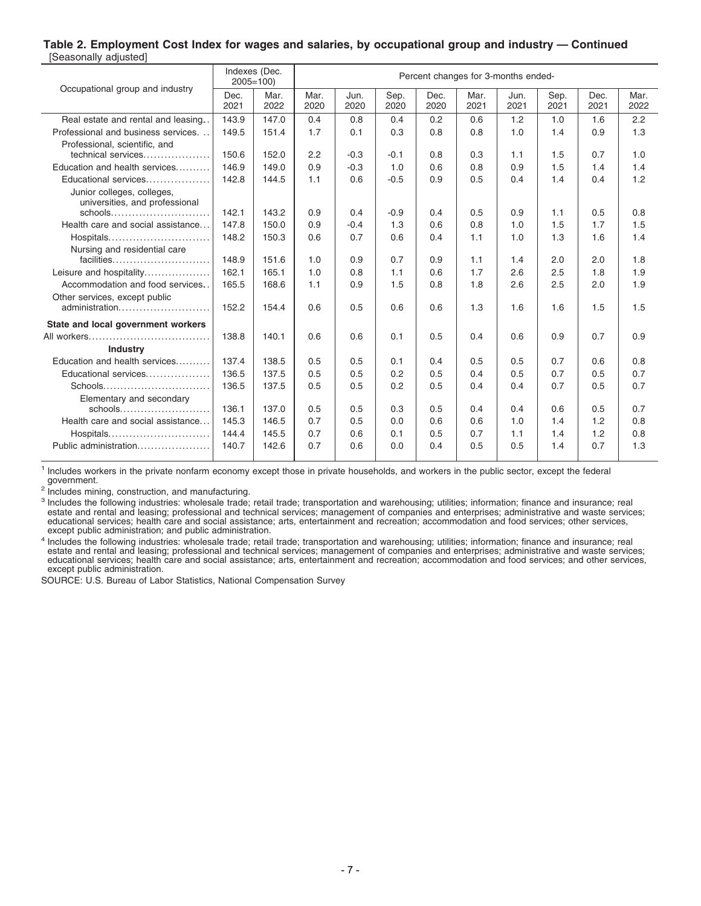#### **Table 2. Employment Cost Index for wages and salaries, by occupational group and industry — Continued** [Seasonally adjusted]

| Occupational group and industry                              |              | Indexes (Dec.<br>$2005 = 100$ |              |              |              |              |              | Percent changes for 3-months ended- |              |              |              |
|--------------------------------------------------------------|--------------|-------------------------------|--------------|--------------|--------------|--------------|--------------|-------------------------------------|--------------|--------------|--------------|
|                                                              | Dec.<br>2021 | Mar.<br>2022                  | Mar.<br>2020 | Jun.<br>2020 | Sep.<br>2020 | Dec.<br>2020 | Mar.<br>2021 | Jun.<br>2021                        | Sep.<br>2021 | Dec.<br>2021 | Mar.<br>2022 |
| Real estate and rental and leasing                           | 143.9        | 147.0                         | 0.4          | 0.8          | 0.4          | 0.2          | 0.6          | 1.2                                 | 1.0          | 1.6          | 2.2          |
| Professional and business services                           | 149.5        | 151.4                         | 1.7          | 0.1          | 0.3          | 0.8          | 0.8          | 1.0                                 | 1.4          | 0.9          | 1.3          |
| Professional, scientific, and                                |              |                               |              |              |              |              |              |                                     |              |              |              |
| technical services                                           | 150.6        | 152.0                         | 2.2          | $-0.3$       | $-0.1$       | 0.8          | 0.3          | 1.1                                 | 1.5          | 0.7          | 1.0          |
| Education and health services                                | 146.9        | 149.0                         | 0.9          | $-0.3$       | 1.0          | 0.6          | 0.8          | 0.9                                 | 1.5          | 1.4          | 1.4          |
| Educational services                                         | 142.8        | 144.5                         | 1.1          | 0.6          | $-0.5$       | 0.9          | 0.5          | 0.4                                 | 1.4          | 0.4          | 1.2          |
| Junior colleges, colleges,<br>universities, and professional |              |                               |              |              |              |              |              |                                     |              |              |              |
| schools                                                      | 142.1        | 143.2                         | 0.9          | 0.4          | $-0.9$       | 0.4          | 0.5          | 0.9                                 | 1.1          | 0.5          | 0.8          |
| Health care and social assistance                            | 147.8        | 150.0                         | 0.9          | $-0.4$       | 1.3          | 0.6          | 0.8          | 1.0                                 | 1.5          | 1.7          | 1.5          |
| Hospitals                                                    | 148.2        | 150.3                         | 0.6          | 0.7          | 0.6          | 0.4          | 1.1          | 1.0                                 | 1.3          | 1.6          | 1.4          |
| Nursing and residential care                                 |              |                               |              |              |              |              |              |                                     |              |              |              |
| facilities                                                   | 148.9        | 151.6                         | 1.0          | 0.9          | 0.7          | 0.9          | 1.1          | 1.4                                 | 2.0          | 2.0          | 1.8          |
| Leisure and hospitality                                      | 162.1        | 165.1                         | 1.0          | 0.8          | 1.1          | 0.6          | 1.7          | 2.6                                 | 2.5          | 1.8          | 1.9          |
| Accommodation and food services.                             | 165.5        | 168.6                         | 1.1          | 0.9          | 1.5          | 0.8          | 1.8          | 2.6                                 | 2.5          | 2.0          | 1.9          |
| Other services, except public                                |              |                               |              |              |              |              |              |                                     |              |              |              |
| administration                                               | 152.2        | 154.4                         | 0.6          | 0.5          | 0.6          | 0.6          | 1.3          | 1.6                                 | 1.6          | 1.5          | 1.5          |
| State and local government workers                           |              |                               |              |              |              |              |              |                                     |              |              |              |
| All workers                                                  | 138.8        | 140.1                         | 0.6          | 0.6          | 0.1          | 0.5          | 0.4          | 0.6                                 | 0.9          | 0.7          | 0.9          |
| <b>Industry</b>                                              |              |                               |              |              |              |              |              |                                     |              |              |              |
| Education and health services                                | 137.4        | 138.5                         | 0.5          | 0.5          | 0.1          | 0.4          | 0.5          | 0.5                                 | 0.7          | 0.6          | 0.8          |
| Educational services                                         | 136.5        | 137.5                         | 0.5          | 0.5          | 0.2          | 0.5          | 0.4          | 0.5                                 | 0.7          | 0.5          | 0.7          |
| Schools                                                      | 136.5        | 137.5                         | 0.5          | 0.5          | 0.2          | 0.5          | 0.4          | 0.4                                 | 0.7          | 0.5          | 0.7          |
| Elementary and secondary                                     |              |                               |              |              |              |              |              |                                     |              |              |              |
|                                                              | 136.1        | 137.0                         | 0.5          | 0.5          | 0.3          | 0.5          | 0.4          | 0.4                                 | 0.6          | 0.5          | 0.7          |
| Health care and social assistance                            | 145.3        | 146.5                         | 0.7          | 0.5          | 0.0          | 0.6          | 0.6          | 1.0                                 | 1.4          | 1.2          | 0.8          |
| Hospitals                                                    | 144.4        | 145.5                         | 0.7          | 0.6          | 0.1          | 0.5          | 0.7          | 1.1                                 | 1.4          | 1.2          | 0.8          |
| Public administration                                        | 140.7        | 142.6                         | 0.7          | 0.6          | 0.0          | 0.4          | 0.5          | 0.5                                 | 1.4          | 0.7          | 1.3          |

1 Includes workers in the private nonfarm economy except those in private households, and workers in the public sector, except the federal government.

<sup>2</sup> Includes mining, construction, and manufacturing.

<sup>3</sup> Includes the following industries: wholesale trade; retail trade; transportation and warehousing; utilities; information; finance and insurance; real estate and rental and leasing; professional and technical services; management of companies and enterprises; administrative and waste services; educational services; health care and social assistance; arts, entertainment and recreation; accommodation and food services; other services, except public administration; and public administration.

<sup>4</sup> Includes the following industries: wholesale trade; retail trade; transportation and warehousing; utilities; information; finance and insurance; real estate and rental and leasing; professional and technical services; except public administration.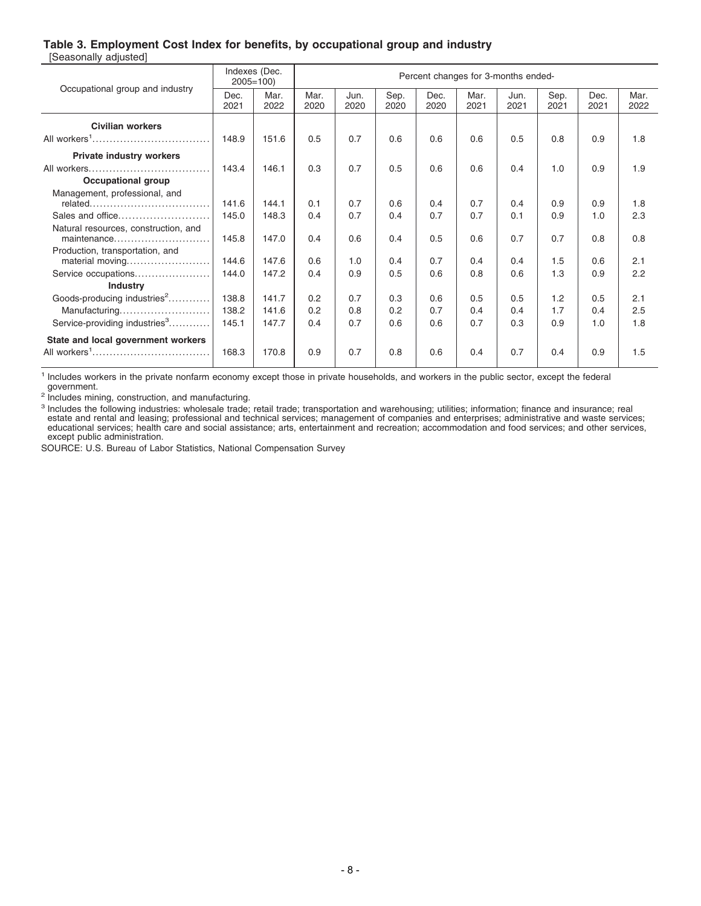### **Table 3. Employment Cost Index for benefits, by occupational group and industry**

| [Seasonally adjusted] |  |
|-----------------------|--|
|-----------------------|--|

|                                                     |              | Indexes (Dec.<br>$2005 = 100$ |              |              |              | Percent changes for 3-months ended- |              |              |              |              |              |
|-----------------------------------------------------|--------------|-------------------------------|--------------|--------------|--------------|-------------------------------------|--------------|--------------|--------------|--------------|--------------|
| Occupational group and industry                     | Dec.<br>2021 | Mar.<br>2022                  | Mar.<br>2020 | Jun.<br>2020 | Sep.<br>2020 | Dec.<br>2020                        | Mar.<br>2021 | Jun.<br>2021 | Sep.<br>2021 | Dec.<br>2021 | Mar.<br>2022 |
| <b>Civilian workers</b>                             |              |                               |              |              |              |                                     |              |              |              |              |              |
| All workers <sup>1</sup>                            | 148.9        | 151.6                         | 0.5          | 0.7          | 0.6          | 0.6                                 | 0.6          | 0.5          | 0.8          | 0.9          | 1.8          |
| <b>Private industry workers</b>                     |              |                               |              |              |              |                                     |              |              |              |              |              |
|                                                     | 143.4        | 146.1                         | 0.3          | 0.7          | 0.5          | 0.6                                 | 0.6          | 0.4          | 1.0          | 0.9          | 1.9          |
| <b>Occupational group</b>                           |              |                               |              |              |              |                                     |              |              |              |              |              |
| Management, professional, and                       |              |                               |              |              |              |                                     |              |              |              |              |              |
|                                                     | 141.6        | 144.1                         | 0.1          | 0.7          | 0.6          | 0.4                                 | 0.7          | 0.4          | 0.9          | 0.9          | 1.8          |
| Sales and office                                    | 145.0        | 148.3                         | 0.4          | 0.7          | 0.4          | 0.7                                 | 0.7          | 0.1          | 0.9          | 1.0          | 2.3          |
| Natural resources, construction, and<br>maintenance | 145.8        | 147.0                         | 0.4          | 0.6          | 0.4          | 0.5                                 | 0.6          | 0.7          | 0.7          | 0.8          | 0.8          |
| Production, transportation, and                     |              |                               |              |              |              |                                     |              |              |              |              |              |
| material moving                                     | 144.6        | 147.6                         | 0.6          | 1.0          | 0.4          | 0.7                                 | 0.4          | 0.4          | 1.5          | 0.6          | 2.1          |
| Service occupations                                 | 144.0        | 147.2                         | 0.4          | 0.9          | 0.5          | 0.6                                 | 0.8          | 0.6          | 1.3          | 0.9          | 2.2          |
| <b>Industry</b>                                     |              |                               |              |              |              |                                     |              |              |              |              |              |
| Goods-producing industries <sup>2</sup>             | 138.8        | 141.7                         | 0.2          | 0.7          | 0.3          | 0.6                                 | 0.5          | 0.5          | 1.2          | 0.5          | 2.1          |
| Manufacturing                                       | 138.2        | 141.6                         | 0.2          | 0.8          | 0.2          | 0.7                                 | 0.4          | 0.4          | 1.7          | 0.4          | 2.5          |
| Service-providing industries <sup>3</sup>           | 145.1        | 147.7                         | 0.4          | 0.7          | 0.6          | 0.6                                 | 0.7          | 0.3          | 0.9          | 1.0          | 1.8          |
| State and local government workers                  |              |                               |              |              |              |                                     |              |              |              |              |              |
| All workers <sup>1</sup>                            | 168.3        | 170.8                         | 0.9          | 0.7          | 0.8          | 0.6                                 | 0.4          | 0.7          | 0.4          | 0.9          | 1.5          |

<sup>1</sup> Includes workers in the private nonfarm economy except those in private households, and workers in the public sector, except the federal government.

<sup>2</sup> Includes mining, construction, and manufacturing.

<sup>3</sup> Includes the following industries: wholesale trade; retail trade; transportation and warehousing; utilities; information; finance and insurance; real estate and rental and leasing; professional and technical services; except public administration.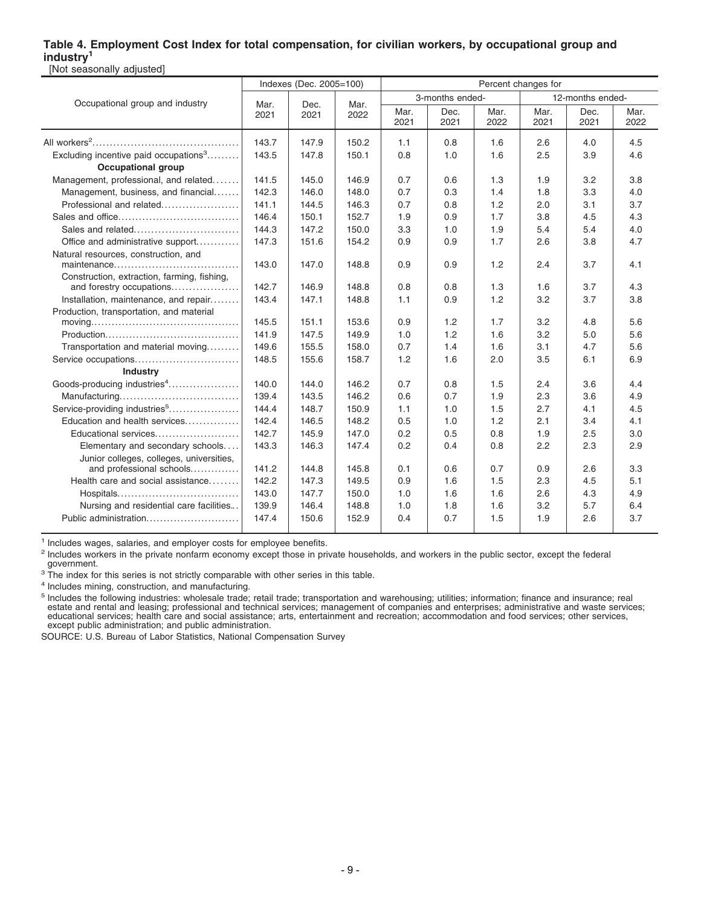### **Table 4. Employment Cost Index for total compensation, for civilian workers, by occupational group and industry<sup>1</sup>** [Not seasonally adjusted]

|                                                                                              |              | Indexes (Dec. 2005=100) |              |              |                 |              | Percent changes for |                  |              |
|----------------------------------------------------------------------------------------------|--------------|-------------------------|--------------|--------------|-----------------|--------------|---------------------|------------------|--------------|
| Occupational group and industry                                                              |              | Dec.                    |              |              | 3-months ended- |              |                     | 12-months ended- |              |
|                                                                                              | Mar.<br>2021 | 2021                    | Mar.<br>2022 | Mar.<br>2021 | Dec.<br>2021    | Mar.<br>2022 | Mar.<br>2021        | Dec.<br>2021     | Mar.<br>2022 |
|                                                                                              | 143.7        | 147.9                   | 150.2        | 1.1          | 0.8             | 1.6          | 2.6                 | 4.0              | 4.5          |
| Excluding incentive paid occupations <sup>3</sup>                                            | 143.5        | 147.8                   | 150.1        | 0.8          | 1.0             | 1.6          | 2.5                 | 3.9              | 4.6          |
| <b>Occupational group</b>                                                                    |              |                         |              |              |                 |              |                     |                  |              |
| Management, professional, and related                                                        | 141.5        | 145.0                   | 146.9        | 0.7          | 0.6             | 1.3          | 1.9                 | 3.2              | 3.8          |
| Management, business, and financial                                                          | 142.3        | 146.0                   | 148.0        | 0.7          | 0.3             | 1.4          | 1.8                 | 3.3              | 4.0          |
| Professional and related                                                                     | 141.1        | 144.5                   | 146.3        | 0.7          | 0.8             | 1.2          | 2.0                 | 3.1              | 3.7          |
|                                                                                              | 146.4        | 150.1                   | 152.7        | 1.9          | 0.9             | 1.7          | 3.8                 | 4.5              | 4.3          |
| Sales and related                                                                            | 144.3        | 147.2                   | 150.0        | 3.3          | 1.0             | 1.9          | 5.4                 | 5.4              | 4.0          |
| Office and administrative support                                                            | 147.3        | 151.6                   | 154.2        | 0.9          | 0.9             | 1.7          | 2.6                 | 3.8              | 4.7          |
| Natural resources, construction, and                                                         | 143.0        | 147.0                   | 148.8        | 0.9          | 0.9             | 1.2          | 2.4                 | 3.7              | 4.1          |
| Construction, extraction, farming, fishing,<br>and forestry occupations                      | 142.7        | 146.9                   | 148.8        | 0.8          | 0.8             | 1.3          | 1.6                 | 3.7              | 4.3          |
| Installation, maintenance, and repair                                                        | 143.4        | 147.1                   | 148.8        | 1.1          | 0.9             | 1.2          | 3.2                 | 3.7              | 3.8          |
| Production, transportation, and material                                                     |              |                         |              |              |                 |              |                     |                  |              |
| $moving \dots \dots \dots \dots \dots \dots \dots \dots \dots \dots \dots \dots \dots \dots$ | 145.5        | 151.1                   | 153.6        | 0.9          | 1.2             | 1.7          | 3.2                 | 4.8              | 5.6          |
|                                                                                              | 141.9        | 147.5                   | 149.9        | 1.0          | 1.2             | 1.6          | 3.2                 | 5.0              | 5.6          |
| Transportation and material moving                                                           | 149.6        | 155.5                   | 158.0        | 0.7          | 1.4             | 1.6          | 3.1                 | 4.7              | 5.6          |
| Service occupations                                                                          | 148.5        | 155.6                   | 158.7        | 1.2          | 1.6             | 2.0          | 3.5                 | 6.1              | 6.9          |
| <b>Industry</b>                                                                              |              |                         |              |              |                 |              |                     |                  |              |
| Goods-producing industries <sup>4</sup>                                                      | 140.0        | 144.0                   | 146.2        | 0.7          | 0.8             | 1.5          | 2.4                 | 3.6              | 4.4          |
|                                                                                              | 139.4        | 143.5                   | 146.2        | 0.6          | 0.7             | 1.9          | 2.3                 | 3.6              | 4.9          |
| Service-providing industries <sup>5</sup>                                                    | 144.4        | 148.7                   | 150.9        | 1.1          | 1.0             | 1.5          | 2.7                 | 4.1              | 4.5          |
| Education and health services                                                                | 142.4        | 146.5                   | 148.2        | 0.5          | 1.0             | 1.2          | 2.1                 | 3.4              | 4.1          |
| Educational services                                                                         | 142.7        | 145.9                   | 147.0        | 0.2          | 0.5             | 0.8          | 1.9                 | 2.5              | 3.0          |
| Elementary and secondary schools                                                             | 143.3        | 146.3                   | 147.4        | 0.2          | 0.4             | 0.8          | 2.2                 | 2.3              | 2.9          |
| Junior colleges, colleges, universities,<br>and professional schools                         | 141.2        | 144.8                   | 145.8        | 0.1          | 0.6             | 0.7          | 0.9                 | 2.6              | 3.3          |
| Health care and social assistance                                                            | 142.2        | 147.3                   | 149.5        | 0.9          | 1.6             | 1.5          | 2.3                 | 4.5              | 5.1          |
| Hospitals                                                                                    | 143.0        | 147.7                   | 150.0        | 1.0          | 1.6             | 1.6          | 2.6                 | 4.3              | 4.9          |
| Nursing and residential care facilities                                                      | 139.9        | 146.4                   | 148.8        | 1.0          | 1.8             | 1.6          | 3.2                 | 5.7              | 6.4          |
| Public administration                                                                        | 147.4        | 150.6                   | 152.9        | 0.4          | 0.7             | 1.5          | 1.9                 | 2.6              | 3.7          |

<sup>1</sup> Includes wages, salaries, and employer costs for employee benefits.

<sup>2</sup> Includes workers in the private nonfarm economy except those in private households, and workers in the public sector, except the federal government.

<sup>3</sup> The index for this series is not strictly comparable with other series in this table.

4 Includes mining, construction, and manufacturing.

<sup>5</sup> Includes the following industries: wholesale trade; retail trade; transportation and warehousing; utilities; information; finance and insurance; real<br>estate and rental and leasing; professional and technical services; educational services; health care and social assistance; arts, entertainment and recreation; accommodation and food services; other services, except public administration; and public administration.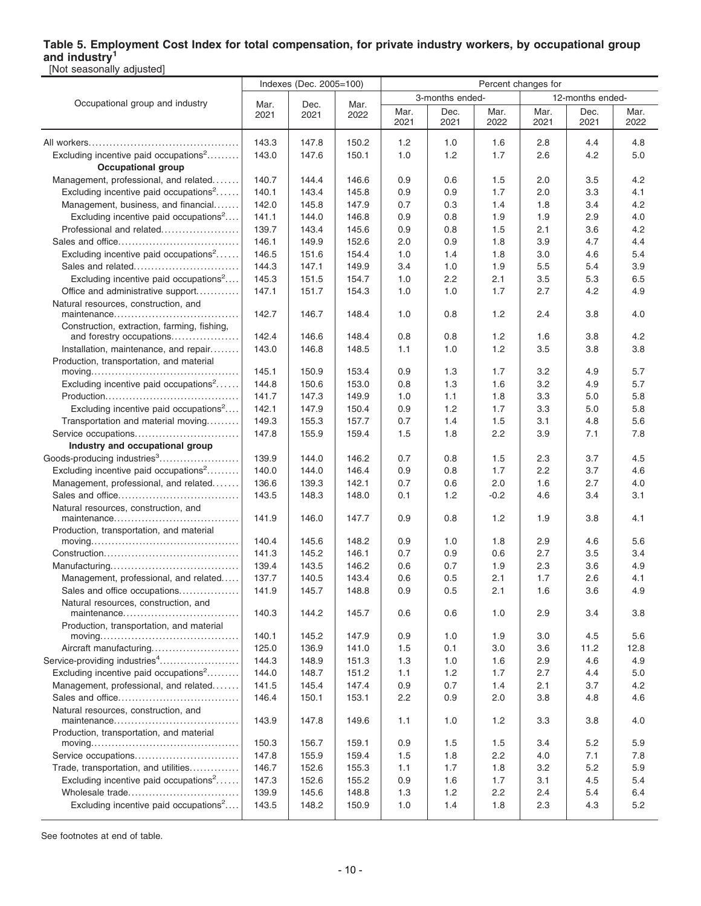## **Table 5. Employment Cost Index for total compensation, for private industry workers, by occupational group and industry<sup>1</sup>**

| [Not seasonally adjusted]                                                              |                |                         |       |              |                 |               |                     |                  |              |  |  |
|----------------------------------------------------------------------------------------|----------------|-------------------------|-------|--------------|-----------------|---------------|---------------------|------------------|--------------|--|--|
|                                                                                        |                | Indexes (Dec. 2005=100) |       |              |                 |               | Percent changes for |                  |              |  |  |
| Occupational group and industry                                                        | Mar.           | Dec.                    | Mar.  |              | 3-months ended- |               |                     | 12-months ended- |              |  |  |
|                                                                                        | 2021           | 2021                    | 2022  | Mar.<br>2021 | Dec.<br>2021    | Mar.<br>2022  | Mar.<br>2021        | Dec.<br>2021     | Mar.<br>2022 |  |  |
|                                                                                        | 143.3          | 147.8                   | 150.2 | 1.2          | 1.0             | 1.6           | 2.8                 | 4.4              | 4.8          |  |  |
| Excluding incentive paid occupations <sup>2</sup>                                      | 143.0          | 147.6                   | 150.1 | 1.0          | 1.2             | 1.7           | 2.6                 | 4.2              | 5.0          |  |  |
| <b>Occupational group</b>                                                              |                |                         |       |              |                 |               |                     |                  |              |  |  |
| Management, professional, and related                                                  | 140.7          | 144.4                   | 146.6 | 0.9          | 0.6             | 1.5           | 2.0                 | 3.5              | 4.2          |  |  |
| Excluding incentive paid occupations <sup>2</sup>                                      | 140.1          | 143.4                   | 145.8 | 0.9          | 0.9             | 1.7           | 2.0                 | 3.3              | 4.1          |  |  |
| Management, business, and financial                                                    | 142.0          | 145.8                   | 147.9 | 0.7          | 0.3             | 1.4           | 1.8                 | 3.4              | 4.2          |  |  |
| Excluding incentive paid occupations <sup>2</sup>                                      | 141.1          | 144.0                   | 146.8 | 0.9          | 0.8             | 1.9           | 1.9                 | 2.9              | 4.0          |  |  |
| Professional and related                                                               | 139.7          | 143.4                   | 145.6 | 0.9          | 0.8             | 1.5           | 2.1                 | 3.6              | 4.2          |  |  |
|                                                                                        | 146.1          | 149.9                   | 152.6 | 2.0          | 0.9             | 1.8           | 3.9                 | 4.7              | 4.4          |  |  |
| Excluding incentive paid occupations <sup>2</sup>                                      | 146.5          | 151.6                   | 154.4 | 1.0          | 1.4             | 1.8           | 3.0                 | 4.6              | 5.4          |  |  |
| Sales and related                                                                      | 144.3          | 147.1                   | 149.9 | 3.4          | 1.0             | 1.9           | 5.5                 | 5.4              | 3.9          |  |  |
| Excluding incentive paid occupations <sup>2</sup>                                      | 145.3          | 151.5                   | 154.7 | 1.0          | 2.2             | 2.1           | 3.5                 | 5.3              | 6.5          |  |  |
| Office and administrative support                                                      | 147.1          | 151.7                   | 154.3 | 1.0          | 1.0             | 1.7           | 2.7                 | 4.2              | 4.9          |  |  |
| Natural resources, construction, and                                                   | 142.7          | 146.7                   | 148.4 | 1.0          | 0.8             | 1.2           | 2.4                 | 3.8              | 4.0          |  |  |
| Construction, extraction, farming, fishing,                                            |                |                         |       |              |                 |               |                     |                  |              |  |  |
| and forestry occupations                                                               | 142.4          | 146.6                   | 148.4 | 0.8          | 0.8             | 1.2           | 1.6                 | 3.8              | 4.2          |  |  |
| Installation, maintenance, and repair                                                  | 143.0          | 146.8                   | 148.5 | 1.1          | 1.0             | 1.2           | 3.5                 | 3.8              | 3.8          |  |  |
| Production, transportation, and material                                               |                |                         |       |              |                 |               |                     |                  |              |  |  |
| $moving \dots \dots \dots \dots \dots \dots \dots \dots \dots \dots \dots \dots \dots$ | 145.1          | 150.9                   | 153.4 | 0.9          | 1.3             | 1.7           | 3.2                 | 4.9              | 5.7          |  |  |
| Excluding incentive paid occupations <sup>2</sup>                                      | 144.8          | 150.6                   | 153.0 | 0.8          | 1.3             | 1.6           | 3.2                 | 4.9              | 5.7          |  |  |
|                                                                                        | 141.7          | 147.3                   | 149.9 | 1.0          | 1.1             | 1.8           | 3.3                 | 5.0              | 5.8          |  |  |
| Excluding incentive paid occupations <sup>2</sup>                                      | 142.1          | 147.9                   | 150.4 | 0.9          | 1.2             | 1.7           | 3.3                 | 5.0              | 5.8          |  |  |
| Transportation and material moving                                                     | 149.3          | 155.3                   | 157.7 | 0.7          | 1.4             | 1.5           | 3.1                 | 4.8              | 5.6          |  |  |
| Service occupations                                                                    | 147.8          | 155.9                   | 159.4 | 1.5          | 1.8             | 2.2           | 3.9                 | 7.1              | 7.8          |  |  |
| Industry and occupational group                                                        |                |                         |       |              |                 |               |                     |                  |              |  |  |
| Goods-producing industries <sup>3</sup>                                                | 139.9          | 144.0                   | 146.2 | 0.7          | 0.8             | 1.5           | 2.3                 | 3.7              | 4.5          |  |  |
| Excluding incentive paid occupations <sup>2</sup>                                      | 140.0          | 144.0                   | 146.4 | 0.9          | 0.8             | 1.7           | 2.2                 | 3.7              | 4.6          |  |  |
| Management, professional, and related                                                  | 136.6<br>143.5 | 139.3                   | 142.1 | 0.7          | 0.6             | 2.0<br>$-0.2$ | 1.6                 | 2.7              | 4.0<br>3.1   |  |  |
| Natural resources, construction, and                                                   |                | 148.3                   | 148.0 | 0.1          | 1.2             |               | 4.6                 | 3.4              |              |  |  |
| Production, transportation, and material                                               | 141.9          | 146.0                   | 147.7 | 0.9          | 0.8             | 1.2           | 1.9                 | 3.8              | 4.1          |  |  |
|                                                                                        | 140.4          | 145.6                   | 148.2 | 0.9          | 1.0             | 1.8           | 2.9                 | 4.6              | 5.6          |  |  |
|                                                                                        | 141.3          | 145.2                   | 146.1 | 0.7          | 0.9             | 0.6           | 2.7                 | 3.5              | 3.4          |  |  |
|                                                                                        | 139.4          | 143.5                   | 146.2 | 0.6          | 0.7             | 1.9           | 2.3                 | 3.6              | 4.9          |  |  |
| Management, professional, and related                                                  | 137.7          | 140.5                   | 143.4 | 0.6          | 0.5             | 2.1           | 1.7                 | 2.6              | 4.1          |  |  |
| Sales and office occupations                                                           | 141.9          | 145.7                   | 148.8 | 0.9          | 0.5             | 2.1           | 1.6                 | 3.6              | 4.9          |  |  |
| Natural resources, construction, and<br>maintenance                                    | 140.3          | 144.2                   | 145.7 | 0.6          | 0.6             | 1.0           | 2.9                 | 3.4              | 3.8          |  |  |
| Production, transportation, and material                                               |                |                         |       |              |                 |               |                     |                  |              |  |  |
|                                                                                        | 140.1          | 145.2                   | 147.9 | 0.9          | 1.0             | 1.9           | 3.0                 | 4.5              | 5.6          |  |  |
| Aircraft manufacturing                                                                 | 125.0          | 136.9                   | 141.0 | 1.5          | 0.1             | 3.0           | 3.6                 | 11.2             | 12.8         |  |  |
| Service-providing industries <sup>4</sup>                                              | 144.3          | 148.9                   | 151.3 | 1.3          | 1.0             | 1.6           | 2.9                 | 4.6              | 4.9          |  |  |
| Excluding incentive paid occupations <sup>2</sup>                                      | 144.0          | 148.7                   | 151.2 | 1.1          | 1.2             | 1.7           | 2.7                 | 4.4              | 5.0          |  |  |
| Management, professional, and related                                                  | 141.5          | 145.4                   | 147.4 | 0.9          | 0.7             | 1.4           | 2.1                 | 3.7              | 4.2          |  |  |
|                                                                                        | 146.4          | 150.1                   | 153.1 | 2.2          | 0.9             | 2.0           | 3.8                 | 4.8              | 4.6          |  |  |
| Natural resources, construction, and                                                   | 143.9          | 147.8                   | 149.6 | 1.1          | 1.0             | 1.2           | 3.3                 | 3.8              | 4.0          |  |  |
| Production, transportation, and material                                               |                |                         |       |              |                 |               |                     |                  |              |  |  |
|                                                                                        | 150.3          | 156.7                   | 159.1 | 0.9          | 1.5             | 1.5           | 3.4                 | 5.2              | 5.9          |  |  |
| Service occupations                                                                    | 147.8          | 155.9                   | 159.4 | 1.5          | 1.8             | 2.2           | 4.0                 | 7.1              | 7.8          |  |  |
| Trade, transportation, and utilities                                                   | 146.7          | 152.6                   | 155.3 | 1.1          | 1.7             | 1.8           | 3.2                 | 5.2              | 5.9          |  |  |
| Excluding incentive paid occupations <sup>2</sup>                                      | 147.3          | 152.6                   | 155.2 | 0.9          | 1.6             | 1.7           | 3.1                 | 4.5              | 5.4          |  |  |
| Wholesale trade                                                                        | 139.9          | 145.6                   | 148.8 | 1.3          | $1.2$           | 2.2           | 2.4                 | 5.4              | 6.4          |  |  |
| Excluding incentive paid occupations <sup>2</sup>                                      | 143.5          | 148.2                   | 150.9 | 1.0          | 1.4             | 1.8           | 2.3                 | 4.3              | 5.2          |  |  |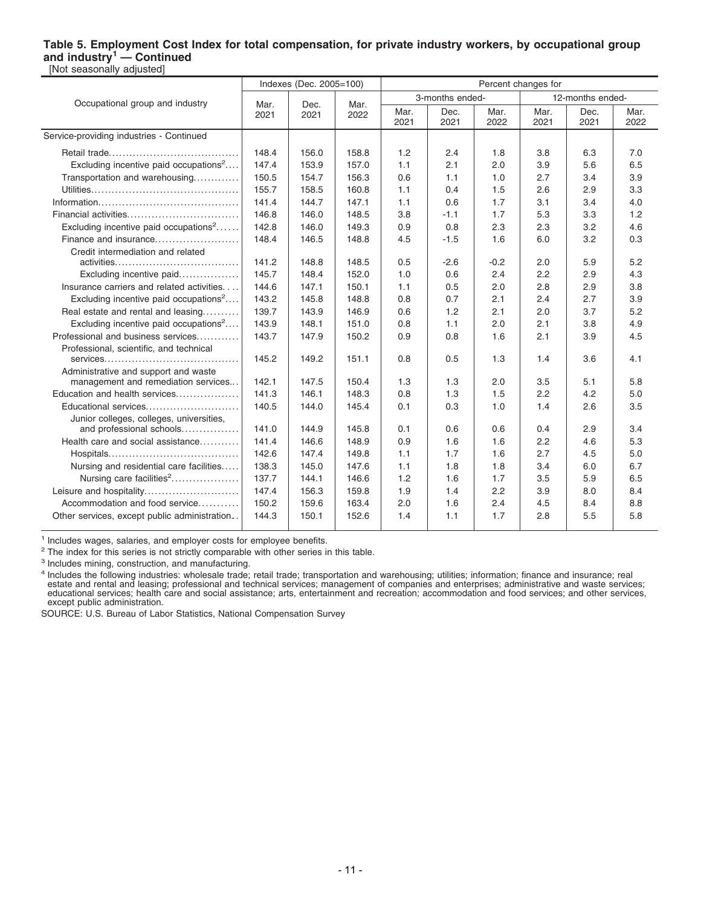#### **Table 5. Employment Cost Index for total compensation, for private industry workers, by occupational group and industry<sup>1</sup> — Continued** [Not seasonally adjusted]

|                                                   |                | Indexes (Dec. 2005=100) |              |              |                 |              | Percent changes for |                  |              |
|---------------------------------------------------|----------------|-------------------------|--------------|--------------|-----------------|--------------|---------------------|------------------|--------------|
|                                                   |                |                         |              |              | 3-months ended- |              |                     | 12-months ended- |              |
| Occupational group and industry                   | Mar.<br>2021   | Dec.<br>2021            | Mar.<br>2022 | Mar.<br>2021 | Dec.<br>2021    | Mar.<br>2022 | Mar.<br>2021        | Dec.<br>2021     | Mar.<br>2022 |
| Service-providing industries - Continued          |                |                         |              |              |                 |              |                     |                  |              |
|                                                   | 148.4          | 156.0                   | 158.8        | 1.2          | 2.4             | 1.8          | 3.8                 | 6.3              | 7.0          |
| Excluding incentive paid occupations <sup>2</sup> | 147.4          | 153.9                   | 157.0        | 1.1          | 2.1             | 2.0          | 3.9                 | 5.6              | 6.5          |
| Transportation and warehousing                    | 150.5          | 154.7                   | 156.3        | 0.6          | 1.1             | 1.0          | 2.7                 | 3.4              | 3.9          |
|                                                   | 155.7          | 158.5                   | 160.8        | 1.1          | 0.4             | 1.5          | 2.6                 | 2.9              | 3.3          |
|                                                   | 141.4          | 144.7                   | 147.1        | 1.1          | 0.6             | 1.7          | 3.1                 | 3.4              | 4.0          |
| Financial activities                              | 146.8          | 146.0                   | 148.5        | 3.8          | $-1.1$          | 1.7          | 5.3                 | 3.3              | 1.2          |
| Excluding incentive paid occupations <sup>2</sup> | 142.8          | 146.0                   | 149.3        | 0.9          | 0.8             | 2.3          | 2.3                 | 3.2              | 4.6          |
| Finance and insurance                             | 148.4          | 146.5                   | 148.8        | 4.5          | $-1.5$          | 1.6          | 6.0                 | 3.2              | 0.3          |
| Credit intermediation and related                 |                |                         |              |              |                 |              |                     |                  |              |
|                                                   | 141.2          | 148.8                   | 148.5        | 0.5          | $-2.6$          | $-0.2$       | 2.0                 | 5.9              | 5.2          |
| Excluding incentive paid                          | 145.7          | 148.4                   | 152.0        | 1.0          | 0.6             | 2.4          | 2.2                 | 2.9              | 4.3          |
| Insurance carriers and related activities.        | 144.6          | 147.1                   | 150.1        | 1.1          | 0.5             | 2.0          | 2.8                 | 2.9              | 3.8          |
| Excluding incentive paid occupations <sup>2</sup> | 143.2          | 145.8                   | 148.8        | 0.8          | 0.7             | 2.1          | 2.4                 | 2.7              | 3.9          |
| Real estate and rental and leasing<br>.           | 139.7          | 143.9                   | 146.9        | 0.6          | 1.2             | 2.1          | 2.0                 | 3.7              | 5.2          |
| Excluding incentive paid occupations <sup>2</sup> | 143.9          | 148.1                   | 151.0        | 0.8          | 1.1             | 2.0          | 2.1                 | 3.8              | 4.9          |
| Professional and business services                | 143.7          | 147.9                   | 150.2        | 0.9          | 0.8             | 1.6          | 2.1                 | 3.9              | 4.5          |
| Professional, scientific, and technical           |                |                         |              |              |                 |              |                     |                  |              |
|                                                   | 145.2          | 149.2                   | 151.1        | 0.8          | 0.5             | 1.3          | 1.4                 | 3.6              | 4.1          |
| Administrative and support and waste              |                |                         |              |              |                 |              |                     |                  |              |
| management and remediation services               | 142.1          | 147.5                   | 150.4        | 1.3          | 1.3             | 2.0          | 3.5                 | 5.1              | 5.8          |
| Education and health services                     | 141.3          | 146.1                   | 148.3        | 0.8          | 1.3             | 1.5          | 2.2                 | 4.2              | 5.0          |
| Educational services                              | 140.5          | 144.0                   | 145.4        | 0.1          | 0.3             | 1.0          | 1.4                 | 2.6              | 3.5          |
| Junior colleges, colleges, universities,          |                |                         |              |              |                 |              |                     |                  |              |
| and professional schools                          | 141.0<br>141.4 | 144.9                   | 145.8        | 0.1          | 0.6             | 0.6          | 0.4                 | 2.9              | 3.4          |
| Health care and social assistance                 |                | 146.6                   | 148.9        | 0.9          | 1.6             | 1.6          | 2.2<br>2.7          | 4.6              | 5.3          |
|                                                   | 142.6          | 147.4                   | 149.8        | 1.1          | 1.7             | 1.6          |                     | 4.5              | 5.0          |
| Nursing and residential care facilities           | 138.3          | 145.0                   | 147.6        | 1.1          | 1.8             | 1.8          | 3.4                 | 6.0              | 6.7          |
| Nursing care facilities <sup>2</sup>              | 137.7          | 144.1                   | 146.6        | 1.2          | 1.6             | 1.7          | 3.5                 | 5.9              | 6.5          |
| Leisure and hospitality                           | 147.4          | 156.3                   | 159.8        | 1.9          | 1.4             | 2.2          | 3.9                 | 8.0              | 8.4          |
| Accommodation and food service                    | 150.2          | 159.6                   | 163.4        | 2.0          | 1.6             | 2.4          | 4.5                 | 8.4              | 8.8          |
| Other services, except public administration      | 144.3          | 150.1                   | 152.6        | 1.4          | 1.1             | 1.7          | 2.8                 | 5.5              | 5.8          |

<sup>1</sup> Includes wages, salaries, and employer costs for employee benefits.

<sup>2</sup> The index for this series is not strictly comparable with other series in this table.

<sup>3</sup> Includes mining, construction, and manufacturing.

<sup>4</sup> Includes the following industries: wholesale trade; retail trade; transportation and warehousing; utilities; information; finance and insurance; real estate and rental and leasing; professional and technical services; except public administration.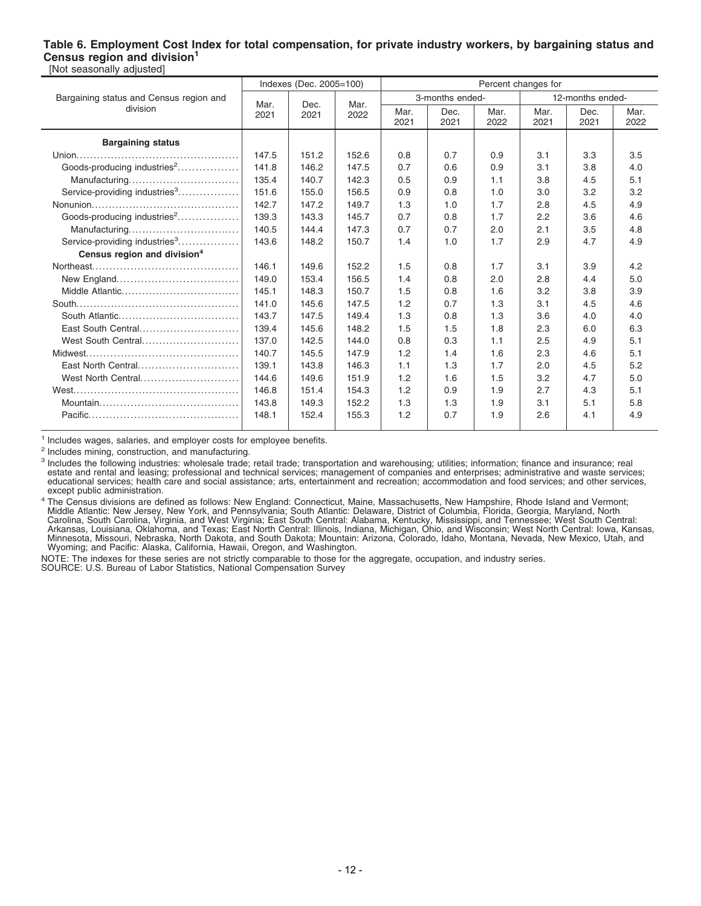#### **Table 6. Employment Cost Index for total compensation, for private industry workers, by bargaining status and Census region and division<sup>1</sup>** [Not seasonally adjusted]

|                                           |       | Indexes (Dec. 2005=100) |       |              |                 |              | Percent changes for |                  |              |
|-------------------------------------------|-------|-------------------------|-------|--------------|-----------------|--------------|---------------------|------------------|--------------|
| Bargaining status and Census region and   | Mar.  | Dec.                    | Mar.  |              | 3-months ended- |              |                     | 12-months ended- |              |
| division                                  | 2021  | 2021                    | 2022  | Mar.<br>2021 | Dec.<br>2021    | Mar.<br>2022 | Mar.<br>2021        | Dec.<br>2021     | Mar.<br>2022 |
| <b>Bargaining status</b>                  |       |                         |       |              |                 |              |                     |                  |              |
|                                           | 147.5 | 151.2                   | 152.6 | 0.8          | 0.7             | 0.9          | 3.1                 | 3.3              | 3.5          |
| Goods-producing industries <sup>2</sup>   | 141.8 | 146.2                   | 147.5 | 0.7          | 0.6             | 0.9          | 3.1                 | 3.8              | 4.0          |
| Manufacturing                             | 135.4 | 140.7                   | 142.3 | 0.5          | 0.9             | 1.1          | 3.8                 | 4.5              | 5.1          |
| Service-providing industries <sup>3</sup> | 151.6 | 155.0                   | 156.5 | 0.9          | 0.8             | 1.0          | 3.0                 | 3.2              | 3.2          |
|                                           | 142.7 | 147.2                   | 149.7 | 1.3          | 1.0             | 1.7          | 2.8                 | 4.5              | 4.9          |
| Goods-producing industries <sup>2</sup>   | 139.3 | 143.3                   | 145.7 | 0.7          | 0.8             | 1.7          | 2.2                 | 3.6              | 4.6          |
| Manufacturing                             | 140.5 | 144.4                   | 147.3 | 0.7          | 0.7             | 2.0          | 2.1                 | 3.5              | 4.8          |
| Service-providing industries <sup>3</sup> | 143.6 | 148.2                   | 150.7 | 1.4          | 1.0             | 1.7          | 2.9                 | 4.7              | 4.9          |
| Census region and division <sup>4</sup>   |       |                         |       |              |                 |              |                     |                  |              |
|                                           | 146.1 | 149.6                   | 152.2 | 1.5          | 0.8             | 1.7          | 3.1                 | 3.9              | 4.2          |
|                                           | 149.0 | 153.4                   | 156.5 | 1.4          | 0.8             | 2.0          | 2.8                 | 4.4              | 5.0          |
| Middle Atlantic                           | 145.1 | 148.3                   | 150.7 | 1.5          | 0.8             | 1.6          | 3.2                 | 3.8              | 3.9          |
|                                           | 141.0 | 145.6                   | 147.5 | 1.2          | 0.7             | 1.3          | 3.1                 | 4.5              | 4.6          |
|                                           | 143.7 | 147.5                   | 149.4 | 1.3          | 0.8             | 1.3          | 3.6                 | 4.0              | 4.0          |
| East South Central                        | 139.4 | 145.6                   | 148.2 | 1.5          | 1.5             | 1.8          | 2.3                 | 6.0              | 6.3          |
| West South Central                        | 137.0 | 142.5                   | 144.0 | 0.8          | 0.3             | 1.1          | 2.5                 | 4.9              | 5.1          |
|                                           | 140.7 | 145.5                   | 147.9 | 1.2          | 1.4             | 1.6          | 2.3                 | 4.6              | 5.1          |
| East North Central                        | 139.1 | 143.8                   | 146.3 | 1.1          | 1.3             | 1.7          | 2.0                 | 4.5              | 5.2          |
| West North Central                        | 144.6 | 149.6                   | 151.9 | 1.2          | 1.6             | 1.5          | 3.2                 | 4.7              | 5.0          |
|                                           | 146.8 | 151.4                   | 154.3 | 1.2          | 0.9             | 1.9          | 2.7                 | 4.3              | 5.1          |
|                                           | 143.8 | 149.3                   | 152.2 | 1.3          | 1.3             | 1.9          | 3.1                 | 5.1              | 5.8          |
|                                           | 148.1 | 152.4                   | 155.3 | 1.2          | 0.7             | 1.9          | 2.6                 | 4.1              | 4.9          |

<sup>1</sup> Includes wages, salaries, and employer costs for employee benefits.

<sup>2</sup> Includes mining, construction, and manufacturing.

<sup>3</sup> Includes the following industries: wholesale trade; retail trade; transportation and warehousing; utilities; information; finance and insurance; real estate and rental and leasing; professional and technical services;

<sup>4</sup> The Census divisions are defined as follows: New England: Connecticut, Maine, Massachusetts, New Hampshire, Rhode Island and Vermont;<br>Middle Atlantic: New Jersey, New York, and Pennsylvania; South Atlantic: Delaware, D

NOTE: The indexes for these series are not strictly comparable to those for the aggregate, occupation, and industry series. SOURCE: U.S. Bureau of Labor Statistics, National Compensation Survey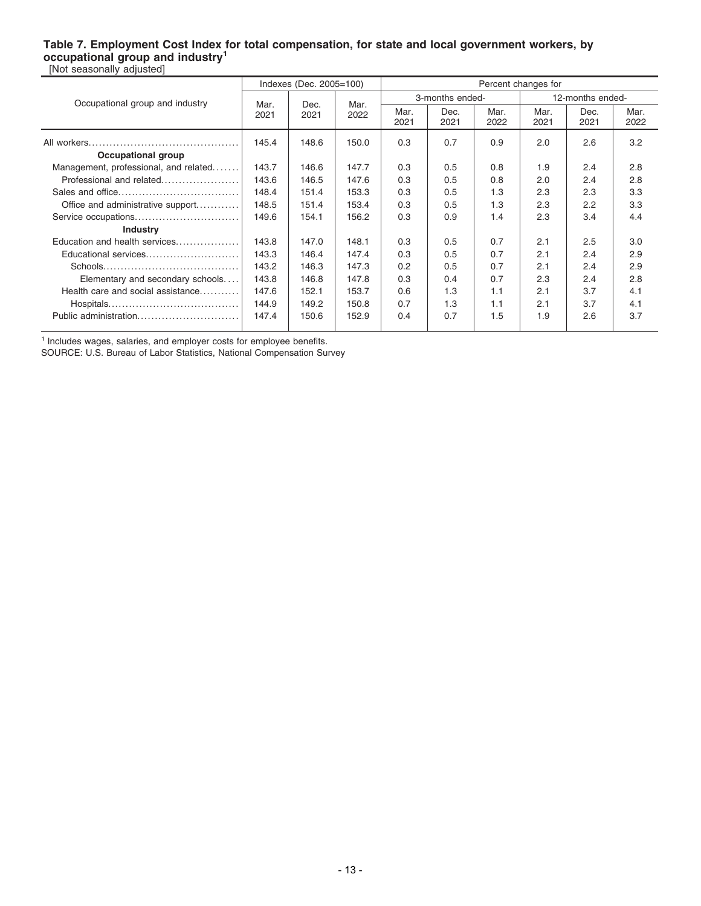#### **Table 7. Employment Cost Index for total compensation, for state and local government workers, by occupational group and industry<sup>1</sup>** [Not seasonally adjusted]

|                                       | Indexes (Dec. 2005=100) |       |       | Percent changes for |                 |              |              |                  |              |  |
|---------------------------------------|-------------------------|-------|-------|---------------------|-----------------|--------------|--------------|------------------|--------------|--|
| Occupational group and industry       | Mar.                    | Dec.  | Mar.  |                     | 3-months ended- |              |              | 12-months ended- |              |  |
|                                       | 2021                    | 2021  | 2022  | Mar.<br>2021        | Dec.<br>2021    | Mar.<br>2022 | Mar.<br>2021 | Dec.<br>2021     | Mar.<br>2022 |  |
|                                       | 145.4                   | 148.6 | 150.0 | 0.3                 | 0.7             | 0.9          | 2.0          | 2.6              | 3.2          |  |
| Occupational group                    |                         |       |       |                     |                 |              |              |                  |              |  |
| Management, professional, and related | 143.7                   | 146.6 | 147.7 | 0.3                 | 0.5             | 0.8          | 1.9          | 2.4              | 2.8          |  |
| Professional and related              | 143.6                   | 146.5 | 147.6 | 0.3                 | 0.5             | 0.8          | 2.0          | 2.4              | 2.8          |  |
|                                       | 148.4                   | 151.4 | 153.3 | 0.3                 | 0.5             | 1.3          | 2.3          | 2.3              | 3.3          |  |
| Office and administrative support     | 148.5                   | 151.4 | 153.4 | 0.3                 | 0.5             | 1.3          | 2.3          | 2.2              | 3.3          |  |
| Service occupations                   | 149.6                   | 154.1 | 156.2 | 0.3                 | 0.9             | 1.4          | 2.3          | 3.4              | 4.4          |  |
| <b>Industry</b>                       |                         |       |       |                     |                 |              |              |                  |              |  |
| Education and health services         | 143.8                   | 147.0 | 148.1 | 0.3                 | 0.5             | 0.7          | 2.1          | 2.5              | 3.0          |  |
| Educational services                  | 143.3                   | 146.4 | 147.4 | 0.3                 | 0.5             | 0.7          | 2.1          | 2.4              | 2.9          |  |
|                                       | 143.2                   | 146.3 | 147.3 | 0.2                 | 0.5             | 0.7          | 2.1          | 2.4              | 2.9          |  |
| Elementary and secondary schools      | 143.8                   | 146.8 | 147.8 | 0.3                 | 0.4             | 0.7          | 2.3          | 2.4              | 2.8          |  |
| Health care and social assistance     | 147.6                   | 152.1 | 153.7 | 0.6                 | 1.3             | 1.1          | 2.1          | 3.7              | 4.1          |  |
|                                       | 144.9                   | 149.2 | 150.8 | 0.7                 | 1.3             | 1.1          | 2.1          | 3.7              | 4.1          |  |
| Public administration                 | 147.4                   | 150.6 | 152.9 | 0.4                 | 0.7             | 1.5          | 1.9          | 2.6              | 3.7          |  |

<sup>1</sup> Includes wages, salaries, and employer costs for employee benefits.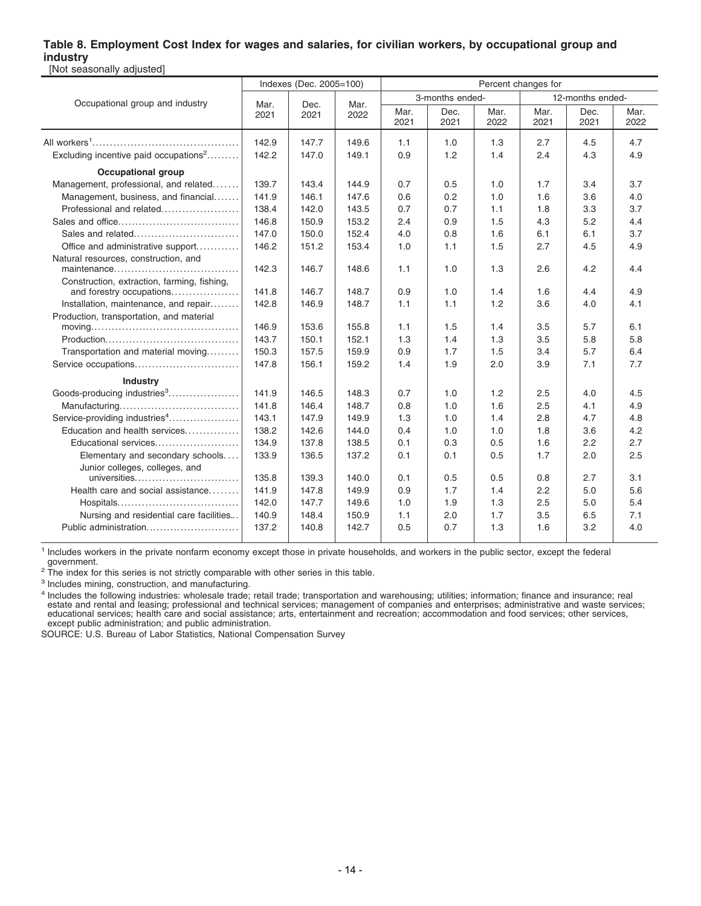#### **Table 8. Employment Cost Index for wages and salaries, for civilian workers, by occupational group and industry** [Not seasonally adjusted]

|                                                                                              |              | Indexes (Dec. 2005=100) |              | Percent changes for |                 |              |              |                  |              |  |
|----------------------------------------------------------------------------------------------|--------------|-------------------------|--------------|---------------------|-----------------|--------------|--------------|------------------|--------------|--|
| Occupational group and industry                                                              |              |                         |              |                     | 3-months ended- |              |              | 12-months ended- |              |  |
|                                                                                              | Mar.<br>2021 | Dec.<br>2021            | Mar.<br>2022 | Mar.<br>2021        | Dec.<br>2021    | Mar.<br>2022 | Mar.<br>2021 | Dec.<br>2021     | Mar.<br>2022 |  |
|                                                                                              | 142.9        | 147.7                   | 149.6        | 1.1                 | 1.0             | 1.3          | 2.7          | 4.5              | 4.7          |  |
| Excluding incentive paid occupations <sup>2</sup>                                            | 142.2        | 147.0                   | 149.1        | 0.9                 | 1.2             | 1.4          | 2.4          | 4.3              | 4.9          |  |
| <b>Occupational group</b>                                                                    |              |                         |              |                     |                 |              |              |                  |              |  |
| Management, professional, and related                                                        | 139.7        | 143.4                   | 144.9        | 0.7                 | 0.5             | 1.0          | 1.7          | 3.4              | 3.7          |  |
| Management, business, and financial                                                          | 141.9        | 146.1                   | 147.6        | 0.6                 | 0.2             | 1.0          | 1.6          | 3.6              | 4.0          |  |
| Professional and related                                                                     | 138.4        | 142.0                   | 143.5        | 0.7                 | 0.7             | 1.1          | 1.8          | 3.3              | 3.7          |  |
|                                                                                              | 146.8        | 150.9                   | 153.2        | 2.4                 | 0.9             | 1.5          | 4.3          | 5.2              | 4.4          |  |
| Sales and related                                                                            | 147.0        | 150.0                   | 152.4        | 4.0                 | 0.8             | 1.6          | 6.1          | 6.1              | 3.7          |  |
| Office and administrative support                                                            | 146.2        | 151.2                   | 153.4        | 1.0                 | 1.1             | 1.5          | 2.7          | 4.5              | 4.9          |  |
| Natural resources, construction, and                                                         | 142.3        | 146.7                   | 148.6        | 1.1                 | 1.0             | 1.3          | 2.6          | 4.2              | 4.4          |  |
| Construction, extraction, farming, fishing,                                                  |              |                         |              |                     |                 |              |              |                  |              |  |
| and forestry occupations                                                                     | 141.8        | 146.7                   | 148.7        | 0.9                 | 1.0             | 1.4          | 1.6          | 4.4              | 4.9          |  |
| Installation, maintenance, and repair                                                        | 142.8        | 146.9                   | 148.7        | 1.1                 | 1.1             | 1.2          | 3.6          | 4.0              | 4.1          |  |
| Production, transportation, and material                                                     |              |                         |              |                     |                 |              |              |                  |              |  |
| $moving \dots \dots \dots \dots \dots \dots \dots \dots \dots \dots \dots \dots \dots \dots$ | 146.9        | 153.6                   | 155.8        | 1.1                 | 1.5             | 1.4          | 3.5          | 5.7              | 6.1          |  |
|                                                                                              | 143.7        | 150.1                   | 152.1        | 1.3                 | 1.4             | 1.3          | 3.5          | 5.8              | 5.8          |  |
| Transportation and material moving                                                           | 150.3        | 157.5                   | 159.9        | 0.9                 | 1.7             | 1.5          | 3.4          | 5.7              | 6.4          |  |
| Service occupations                                                                          | 147.8        | 156.1                   | 159.2        | 1.4                 | 1.9             | 2.0          | 3.9          | 7.1              | 7.7          |  |
| <b>Industry</b>                                                                              |              |                         |              |                     |                 |              |              |                  |              |  |
| Goods-producing industries <sup>3</sup>                                                      | 141.9        | 146.5                   | 148.3        | 0.7                 | 1.0             | 1.2          | 2.5          | 4.0              | 4.5          |  |
|                                                                                              | 141.8        | 146.4                   | 148.7        | 0.8                 | 1.0             | 1.6          | 2.5          | 4.1              | 4.9          |  |
| Service-providing industries <sup>4</sup>                                                    | 143.1        | 147.9                   | 149.9        | 1.3                 | 1.0             | 1.4          | 2.8          | 4.7              | 4.8          |  |
| Education and health services                                                                | 138.2        | 142.6                   | 144.0        | 0.4                 | 1.0             | 1.0          | 1.8          | 3.6              | 4.2          |  |
| Educational services                                                                         | 134.9        | 137.8                   | 138.5        | 0.1                 | 0.3             | 0.5          | 1.6          | 2.2              | 2.7          |  |
| Elementary and secondary schools                                                             | 133.9        | 136.5                   | 137.2        | 0.1                 | 0.1             | 0.5          | 1.7          | 2.0              | 2.5          |  |
| Junior colleges, colleges, and<br>universities                                               | 135.8        | 139.3                   | 140.0        | 0.1                 | 0.5             | 0.5          | 0.8          | 2.7              | 3.1          |  |
| Health care and social assistance                                                            | 141.9        | 147.8                   | 149.9        | 0.9                 | 1.7             | 1.4          | 2.2          | 5.0              | 5.6          |  |
|                                                                                              | 142.0        | 147.7                   | 149.6        | 1.0                 | 1.9             | 1.3          | 2.5          | 5.0              | 5.4          |  |
| Nursing and residential care facilities                                                      | 140.9        | 148.4                   | 150.9        | 1.1                 | 2.0             | 1.7          | 3.5          | 6.5              | 7.1          |  |
| Public administration                                                                        | 137.2        | 140.8                   | 142.7        | 0.5                 | 0.7             | 1.3          | 1.6          | 3.2              | 4.0          |  |

1 Includes workers in the private nonfarm economy except those in private households, and workers in the public sector, except the federal government.

 $2$  The index for this series is not strictly comparable with other series in this table.

<sup>3</sup> Includes mining, construction, and manufacturing.

<sup>4</sup> Includes the following industries: wholesale trade; retail trade; transportation and warehousing; utilities; information; finance and insurance; real estate and rental and leasing; professional and technical services;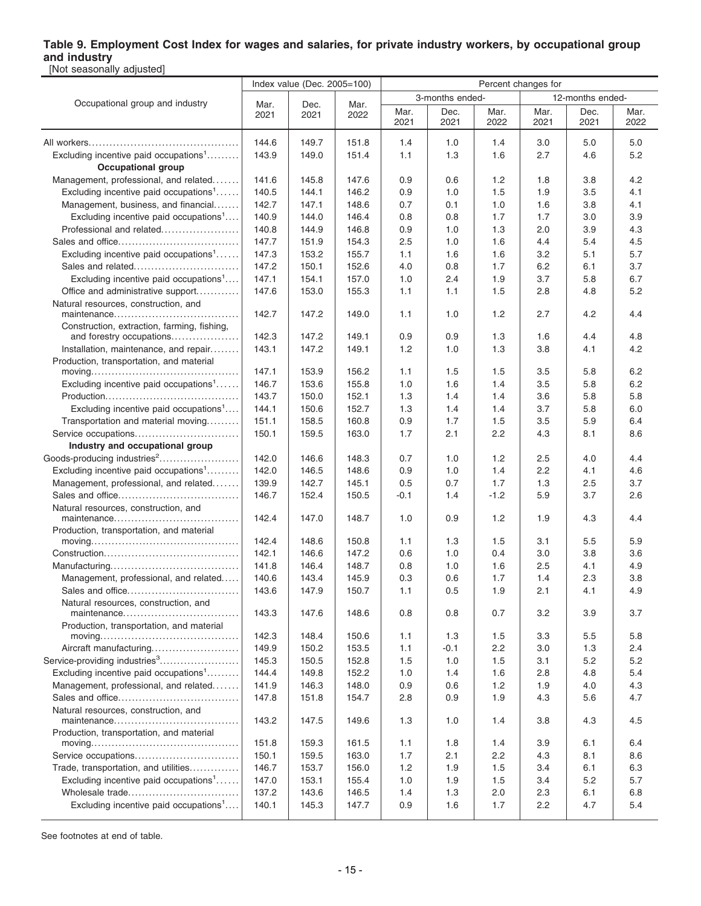## **Table 9. Employment Cost Index for wages and salaries, for private industry workers, by occupational group and industry**

| [Not seasonally adjusted]                                                                  |                |                             |                |                     |                  |              |              |              |              |  |  |
|--------------------------------------------------------------------------------------------|----------------|-----------------------------|----------------|---------------------|------------------|--------------|--------------|--------------|--------------|--|--|
|                                                                                            |                | Index value (Dec. 2005=100) |                | Percent changes for |                  |              |              |              |              |  |  |
| Occupational group and industry                                                            | Mar.           | Dec.<br>Mar.                |                | 3-months ended-     | 12-months ended- |              |              |              |              |  |  |
|                                                                                            | 2021           | 2021                        | 2022           | Mar.<br>2021        | Dec.<br>2021     | Mar.<br>2022 | Mar.<br>2021 | Dec.<br>2021 | Mar.<br>2022 |  |  |
|                                                                                            | 144.6          | 149.7                       | 151.8          | 1.4                 | 1.0              | 1.4          | 3.0          | 5.0          | 5.0          |  |  |
| Excluding incentive paid occupations <sup>1</sup>                                          | 143.9          | 149.0                       | 151.4          | 1.1                 | 1.3              | 1.6          | 2.7          | 4.6          | 5.2          |  |  |
| <b>Occupational group</b>                                                                  |                |                             |                |                     |                  |              |              |              |              |  |  |
| Management, professional, and related                                                      | 141.6          | 145.8                       | 147.6          | 0.9                 | 0.6              | 1.2          | 1.8          | 3.8          | 4.2          |  |  |
| Excluding incentive paid occupations <sup>1</sup>                                          | 140.5          | 144.1                       | 146.2          | 0.9                 | 1.0              | 1.5          | 1.9          | 3.5          | 4.1          |  |  |
| Management, business, and financial                                                        | 142.7          | 147.1                       | 148.6          | 0.7                 | 0.1              | 1.0          | 1.6          | 3.8          | 4.1          |  |  |
| Excluding incentive paid occupations <sup>1</sup>                                          | 140.9          | 144.0                       | 146.4          | 0.8                 | 0.8              | 1.7          | 1.7          | 3.0          | 3.9          |  |  |
| Professional and related                                                                   | 140.8          | 144.9                       | 146.8          | 0.9                 | 1.0              | 1.3          | 2.0          | 3.9          | 4.3          |  |  |
|                                                                                            | 147.7          | 151.9                       | 154.3          | 2.5                 | 1.0              | 1.6          | 4.4          | 5.4          | 4.5          |  |  |
| Excluding incentive paid occupations <sup>1</sup>                                          | 147.3          | 153.2                       | 155.7          | 1.1                 | 1.6              | 1.6          | 3.2          | 5.1          | 5.7          |  |  |
|                                                                                            | 147.2          | 150.1                       | 152.6          | 4.0                 | 0.8              | 1.7          | 6.2          | 6.1          | 3.7          |  |  |
| Excluding incentive paid occupations <sup>1</sup>                                          | 147.1          | 154.1                       | 157.0          | 1.0                 | 2.4              | 1.9          | 3.7          | 5.8          | 6.7          |  |  |
| Office and administrative support                                                          | 147.6          | 153.0                       | 155.3          | 1.1                 | 1.1              | 1.5          | 2.8          | 4.8          | 5.2          |  |  |
| Natural resources, construction, and                                                       | 142.7          | 147.2                       | 149.0          | 1.1                 | 1.0              | 1.2          | 2.7          | 4.2          | 4.4          |  |  |
| Construction, extraction, farming, fishing,                                                |                |                             |                |                     |                  |              |              |              |              |  |  |
| and forestry occupations                                                                   | 142.3          | 147.2                       | 149.1          | 0.9                 | 0.9              | 1.3          | 1.6          | 4.4          | 4.8          |  |  |
| Installation, maintenance, and repair                                                      | 143.1          | 147.2                       | 149.1          | 1.2                 | 1.0              | 1.3          | 3.8          | 4.1          | 4.2          |  |  |
| Production, transportation, and material                                                   |                |                             |                |                     |                  |              |              |              |              |  |  |
| $moving \dots \dots \dots \dots \dots \dots \dots \dots \dots \dots \dots \dots \dots$     | 147.1          | 153.9                       | 156.2          | 1.1                 | 1.5              | 1.5          | 3.5          | 5.8          | 6.2          |  |  |
| Excluding incentive paid occupations <sup>1</sup>                                          | 146.7          | 153.6                       | 155.8          | 1.0                 | 1.6              | 1.4          | 3.5          | 5.8          | 6.2          |  |  |
|                                                                                            | 143.7          | 150.0                       | 152.1          | 1.3                 | 1.4              | 1.4          | 3.6          | 5.8          | 5.8          |  |  |
| Excluding incentive paid occupations <sup>1</sup>                                          | 144.1          | 150.6                       | 152.7          | 1.3                 | 1.4              | 1.4          | 3.7          | 5.8          | 6.0          |  |  |
| Transportation and material moving                                                         | 151.1          | 158.5                       | 160.8          | 0.9                 | 1.7              | 1.5          | 3.5          | 5.9          | 6.4          |  |  |
| Service occupations                                                                        | 150.1          | 159.5                       | 163.0          | 1.7                 | 2.1              | 2.2          | 4.3          | 8.1          | 8.6          |  |  |
| Industry and occupational group                                                            |                |                             |                |                     |                  |              |              |              |              |  |  |
|                                                                                            | 142.0          | 146.6                       | 148.3          | 0.7                 | 1.0              | 1.2          | 2.5          | 4.0          | 4.4          |  |  |
| Excluding incentive paid occupations <sup>1</sup>                                          | 142.0          | 146.5                       | 148.6          | 0.9                 | 1.0              | 1.4          | $2.2\,$      | 4.1          | 4.6          |  |  |
| Management, professional, and related                                                      | 139.9          | 142.7                       | 145.1          | 0.5                 | 0.7              | 1.7          | 1.3          | 2.5          | 3.7          |  |  |
|                                                                                            | 146.7          | 152.4                       | 150.5          | $-0.1$              | 1.4              | $-1.2$       | 5.9          | 3.7          | 2.6          |  |  |
| Natural resources, construction, and                                                       | 142.4          | 147.0                       | 148.7          | 1.0                 | 0.9              | 1.2          | 1.9          | 4.3          | 4.4          |  |  |
| Production, transportation, and material                                                   |                |                             |                |                     |                  |              |              |              |              |  |  |
|                                                                                            | 142.4          | 148.6                       | 150.8          | 1.1                 | 1.3              | 1.5          | 3.1          | 5.5          | 5.9          |  |  |
|                                                                                            | 142.1          | 146.6                       | 147.2          | 0.6                 | 1.0              | 0.4          | 3.0          | 3.8          | 3.6          |  |  |
|                                                                                            | 141.8          | 146.4                       | 148.7          | 0.8                 | 1.0              | 1.6          | 2.5          | 4.1          | 4.9          |  |  |
| Management, professional, and related.                                                     | 140.6          | 143.4                       | 145.9          | 0.3                 | 0.6              | 1.7          | 1.4          | 2.3          | 3.8          |  |  |
|                                                                                            | 143.6          | 147.9                       | 150.7          | 1.1                 | 0.5              | 1.9          | 2.1          | 4.1          | 4.9          |  |  |
| Natural resources, construction, and<br>maintenance                                        | 143.3          | 147.6                       | 148.6          | 0.8                 | 0.8              | 0.7          | 3.2          | 3.9          | 3.7          |  |  |
| Production, transportation, and material                                                   |                |                             |                |                     |                  |              |              |              |              |  |  |
| $moving \dots \dots \dots \dots \dots \dots \dots \dots \dots \dots \dots \dots$           | 142.3          | 148.4                       | 150.6          | 1.1                 | 1.3              | 1.5          | 3.3          | 5.5          | 5.8          |  |  |
| Aircraft manufacturing                                                                     | 149.9          | 150.2                       | 153.5          | 1.1                 | $-0.1$           | 2.2          | 3.0          | 1.3          | 2.4          |  |  |
| Service-providing industries <sup>3</sup>                                                  | 145.3          | 150.5                       | 152.8          | 1.5                 | 1.0              | 1.5          | 3.1          | 5.2          | 5.2          |  |  |
| Excluding incentive paid occupations <sup>1</sup><br>Management, professional, and related | 144.4          | 149.8                       | 152.2          | 1.0                 | 1.4              | 1.6          | 2.8          | 4.8          | 5.4          |  |  |
|                                                                                            | 141.9          | 146.3                       | 148.0          | 0.9                 | 0.6              | 1.2          | 1.9          | 4.0          | 4.3          |  |  |
|                                                                                            | 147.8          | 151.8                       | 154.7          | 2.8                 | 0.9              | 1.9          | 4.3          | 5.6          | 4.7          |  |  |
| Natural resources, construction, and                                                       | 143.2          | 147.5                       | 149.6          | 1.3                 | 1.0              | 1.4          | 3.8          | 4.3          | 4.5          |  |  |
| Production, transportation, and material                                                   |                |                             |                |                     |                  |              |              |              |              |  |  |
|                                                                                            | 151.8          | 159.3                       | 161.5          | 1.1                 | 1.8              | 1.4          | 3.9          | 6.1          | 6.4          |  |  |
| Service occupations                                                                        | 150.1<br>146.7 | 159.5                       | 163.0<br>156.0 | 1.7                 | 2.1              | 2.2<br>1.5   | 4.3          | 8.1          | 8.6          |  |  |
| Trade, transportation, and utilities                                                       |                | 153.7                       |                | 1.2                 | 1.9              |              | 3.4          | 6.1          | 6.3          |  |  |
| Excluding incentive paid occupations <sup>1</sup><br>Wholesale trade                       | 147.0<br>137.2 | 153.1<br>143.6              | 155.4<br>146.5 | 1.0<br>1.4          | 1.9<br>1.3       | 1.5<br>2.0   | 3.4<br>2.3   | 5.2<br>6.1   | 5.7<br>6.8   |  |  |
| Excluding incentive paid occupations <sup>1</sup>                                          | 140.1          | 145.3                       | 147.7          | 0.9                 | 1.6              | 1.7          | 2.2          | 4.7          | 5.4          |  |  |
|                                                                                            |                |                             |                |                     |                  |              |              |              |              |  |  |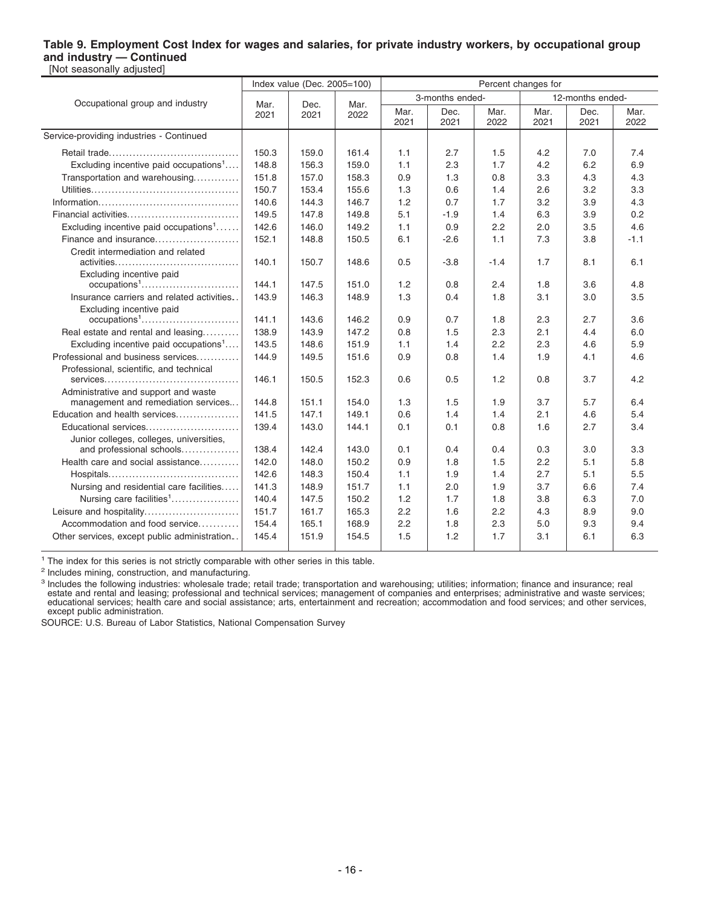#### **Table 9. Employment Cost Index for wages and salaries, for private industry workers, by occupational group and industry — Continued** [Not seasonally adjusted]

|                                                                      |              | Index value (Dec. 2005=100) |              | Percent changes for |                 |              |              |                  |              |  |
|----------------------------------------------------------------------|--------------|-----------------------------|--------------|---------------------|-----------------|--------------|--------------|------------------|--------------|--|
| Occupational group and industry                                      |              |                             |              |                     | 3-months ended- |              |              | 12-months ended- |              |  |
|                                                                      | Mar.<br>2021 | Dec.<br>2021                | Mar.<br>2022 | Mar.<br>2021        | Dec.<br>2021    | Mar.<br>2022 | Mar.<br>2021 | Dec.<br>2021     | Mar.<br>2022 |  |
| Service-providing industries - Continued                             |              |                             |              |                     |                 |              |              |                  |              |  |
|                                                                      | 150.3        | 159.0                       | 161.4        | 1.1                 | 2.7             | 1.5          | 4.2          | 7.0              | 7.4          |  |
| Excluding incentive paid occupations <sup>1</sup>                    | 148.8        | 156.3                       | 159.0        | 1.1                 | 2.3             | 1.7          | 4.2          | 6.2              | 6.9          |  |
| Transportation and warehousing                                       | 151.8        | 157.0                       | 158.3        | 0.9                 | 1.3             | 0.8          | 3.3          | 4.3              | 4.3          |  |
|                                                                      | 150.7        | 153.4                       | 155.6        | 1.3                 | 0.6             | 1.4          | 2.6          | 3.2              | 3.3          |  |
|                                                                      | 140.6        | 144.3                       | 146.7        | 1.2                 | 0.7             | 1.7          | 3.2          | 3.9              | 4.3          |  |
|                                                                      | 149.5        | 147.8                       | 149.8        | 5.1                 | $-1.9$          | 1.4          | 6.3          | 3.9              | 0.2          |  |
| Excluding incentive paid occupations <sup>1</sup>                    | 142.6        | 146.0                       | 149.2        | 1.1                 | 0.9             | 2.2          | 2.0          | 3.5              | 4.6          |  |
| Finance and insurance                                                | 152.1        | 148.8                       | 150.5        | 6.1                 | $-2.6$          | 1.1          | 7.3          | 3.8              | $-1.1$       |  |
| Credit intermediation and related                                    | 140.1        | 150.7                       | 148.6        | 0.5                 | $-3.8$          | $-1.4$       | 1.7          | 8.1              | 6.1          |  |
| Excluding incentive paid                                             | 144.1        | 147.5                       | 151.0        | 1.2                 | 0.8             | 2.4          | 1.8          | 3.6              | 4.8          |  |
| Insurance carriers and related activities                            | 143.9        | 146.3                       | 148.9        | 1.3                 | 0.4             | 1.8          | 3.1          | 3.0              | 3.5          |  |
| Excluding incentive paid                                             | 141.1        | 143.6                       | 146.2        | 0.9                 | 0.7             | 1.8          | 2.3          | 2.7              | 3.6          |  |
| Real estate and rental and leasing                                   | 138.9        | 143.9                       | 147.2        | 0.8                 | 1.5             | 2.3          | 2.1          | 4.4              | 6.0          |  |
| Excluding incentive paid occupations <sup>1</sup>                    | 143.5        | 148.6                       | 151.9        | 1.1                 | 1.4             | 2.2          | 2.3          | 4.6              | 5.9          |  |
| Professional and business services                                   | 144.9        | 149.5                       | 151.6        | 0.9                 | 0.8             | 1.4          | 1.9          | 4.1              | 4.6          |  |
| Professional, scientific, and technical                              | 146.1        | 150.5                       | 152.3        | 0.6                 | 0.5             | 1.2          | 0.8          | 3.7              | 4.2          |  |
| Administrative and support and waste                                 |              |                             |              |                     |                 |              |              |                  |              |  |
| management and remediation services                                  | 144.8        | 151.1                       | 154.0        | 1.3                 | 1.5             | 1.9          | 3.7          | 5.7              | 6.4          |  |
| Education and health services                                        | 141.5        | 147.1                       | 149.1        | 0.6                 | 1.4             | 1.4          | 2.1          | 4.6              | 5.4          |  |
| Educational services                                                 | 139.4        | 143.0                       | 144.1        | 0.1                 | 0.1             | 0.8          | 1.6          | 2.7              | 3.4          |  |
| Junior colleges, colleges, universities,<br>and professional schools | 138.4        | 142.4                       | 143.0        | 0.1                 | 0.4             | 0.4          | 0.3          | 3.0              | 3.3          |  |
| Health care and social assistance                                    | 142.0        | 148.0                       | 150.2        | 0.9                 | 1.8             | 1.5          | 2.2          | 5.1              | 5.8          |  |
|                                                                      | 142.6        | 148.3                       | 150.4        | 1.1                 | 1.9             | 1.4          | 2.7          | 5.1              | 5.5          |  |
| Nursing and residential care facilities                              | 141.3        | 148.9                       | 151.7        | 1.1                 | 2.0             | 1.9          | 3.7          | 6.6              | 7.4          |  |
| Nursing care facilities <sup>1</sup>                                 | 140.4        | 147.5                       | 150.2        | 1.2                 | 1.7             | 1.8          | 3.8          | 6.3              | 7.0          |  |
| Leisure and hospitality                                              | 151.7        | 161.7                       | 165.3        | 2.2                 | 1.6             | 2.2          | 4.3          | 8.9              | 9.0          |  |
| Accommodation and food service                                       | 154.4        | 165.1                       | 168.9        | 2.2                 | 1.8             | 2.3          | 5.0          | 9.3              | 9.4          |  |
| Other services, except public administration                         | 145.4        | 151.9                       | 154.5        | 1.5                 | 1.2             | 1.7          | 3.1          | 6.1              | 6.3          |  |

<sup>1</sup> The index for this series is not strictly comparable with other series in this table.

<sup>2</sup> Includes mining, construction, and manufacturing.

<sup>3</sup> Includes the following industries: wholesale trade; retail trade; transportation and warehousing; utilities; information; finance and insurance; real estate and rental and leasing; professional and technical services;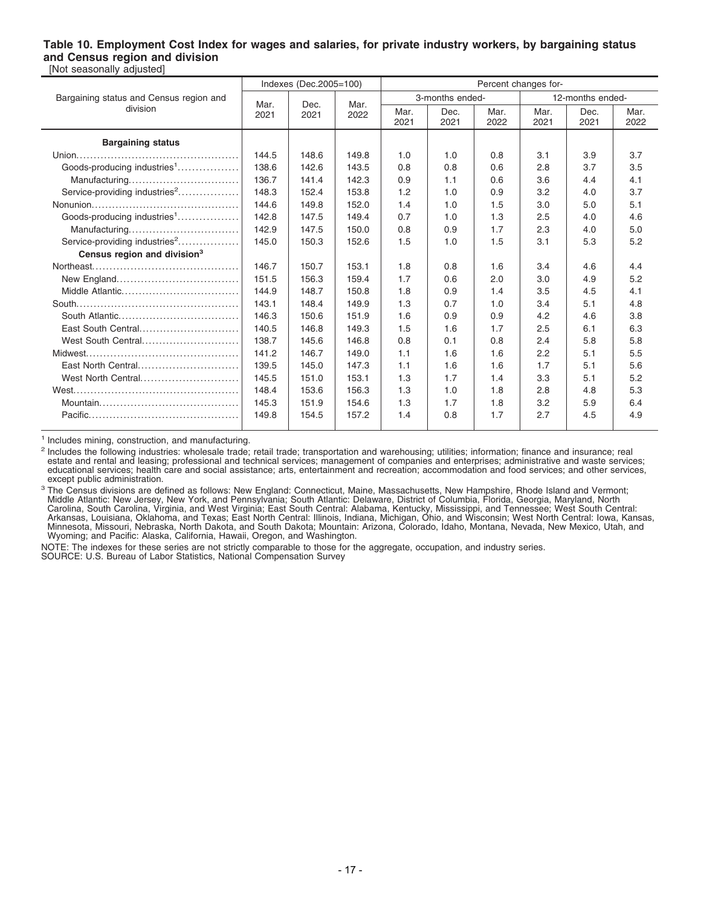#### **Table 10. Employment Cost Index for wages and salaries, for private industry workers, by bargaining status and Census region and division** [Not seasonally adjusted]

|                                           |       | Indexes (Dec.2005=100) |       | Percent changes for- |                 |              |              |                  |              |  |  |
|-------------------------------------------|-------|------------------------|-------|----------------------|-----------------|--------------|--------------|------------------|--------------|--|--|
| Bargaining status and Census region and   | Mar.  | Dec.<br>2021           | Mar.  |                      | 3-months ended- |              |              | 12-months ended- |              |  |  |
| division                                  | 2021  |                        | 2022  | Mar.<br>2021         | Dec.<br>2021    | Mar.<br>2022 | Mar.<br>2021 | Dec.<br>2021     | Mar.<br>2022 |  |  |
| <b>Bargaining status</b>                  |       |                        |       |                      |                 |              |              |                  |              |  |  |
|                                           | 144.5 | 148.6                  | 149.8 | 1.0                  | 1.0             | 0.8          | 3.1          | 3.9              | 3.7          |  |  |
| Goods-producing industries <sup>1</sup>   | 138.6 | 142.6                  | 143.5 | 0.8                  | 0.8             | 0.6          | 2.8          | 3.7              | 3.5          |  |  |
| Manufacturing                             | 136.7 | 141.4                  | 142.3 | 0.9                  | 1.1             | 0.6          | 3.6          | 4.4              | 4.1          |  |  |
| Service-providing industries <sup>2</sup> | 148.3 | 152.4                  | 153.8 | 1.2                  | 1.0             | 0.9          | 3.2          | 4.0              | 3.7          |  |  |
|                                           | 144.6 | 149.8                  | 152.0 | 1.4                  | 1.0             | 1.5          | 3.0          | 5.0              | 5.1          |  |  |
| Goods-producing industries <sup>1</sup>   | 142.8 | 147.5                  | 149.4 | 0.7                  | 1.0             | 1.3          | 2.5          | 4.0              | 4.6          |  |  |
| Manufacturing                             | 142.9 | 147.5                  | 150.0 | 0.8                  | 0.9             | 1.7          | 2.3          | 4.0              | 5.0          |  |  |
| Service-providing industries <sup>2</sup> | 145.0 | 150.3                  | 152.6 | 1.5                  | 1.0             | 1.5          | 3.1          | 5.3              | 5.2          |  |  |
| Census region and division <sup>3</sup>   |       |                        |       |                      |                 |              |              |                  |              |  |  |
|                                           | 146.7 | 150.7                  | 153.1 | 1.8                  | 0.8             | 1.6          | 3.4          | 4.6              | 4.4          |  |  |
|                                           | 151.5 | 156.3                  | 159.4 | 1.7                  | 0.6             | 2.0          | 3.0          | 4.9              | 5.2          |  |  |
| Middle Atlantic                           | 144.9 | 148.7                  | 150.8 | 1.8                  | 0.9             | 1.4          | 3.5          | 4.5              | 4.1          |  |  |
|                                           | 143.1 | 148.4                  | 149.9 | 1.3                  | 0.7             | 1.0          | 3.4          | 5.1              | 4.8          |  |  |
| South Atlantic                            | 146.3 | 150.6                  | 151.9 | 1.6                  | 0.9             | 0.9          | 4.2          | 4.6              | 3.8          |  |  |
| East South Central                        | 140.5 | 146.8                  | 149.3 | 1.5                  | 1.6             | 1.7          | 2.5          | 6.1              | 6.3          |  |  |
| West South Central                        | 138.7 | 145.6                  | 146.8 | 0.8                  | 0.1             | 0.8          | 2.4          | 5.8              | 5.8          |  |  |
|                                           | 141.2 | 146.7                  | 149.0 | 1.1                  | 1.6             | 1.6          | 2.2          | 5.1              | 5.5          |  |  |
| East North Central                        | 139.5 | 145.0                  | 147.3 | 1.1                  | 1.6             | 1.6          | 1.7          | 5.1              | 5.6          |  |  |
| West North Central                        | 145.5 | 151.0                  | 153.1 | 1.3                  | 1.7             | 1.4          | 3.3          | 5.1              | 5.2          |  |  |
|                                           | 148.4 | 153.6                  | 156.3 | 1.3                  | 1.0             | 1.8          | 2.8          | 4.8              | 5.3          |  |  |
|                                           | 145.3 | 151.9                  | 154.6 | 1.3                  | 1.7             | 1.8          | 3.2          | 5.9              | 6.4          |  |  |
|                                           | 149.8 | 154.5                  | 157.2 | 1.4                  | 0.8             | 1.7          | 2.7          | 4.5              | 4.9          |  |  |

<sup>1</sup> Includes mining, construction, and manufacturing.

<sup>2</sup> Includes the following industries: wholesale trade; retail trade; transportation and warehousing; utilities; information; finance and insurance; real estate and rental and leasing; professional and technical services; management of companies and enterprises; administrative and waste services;<br>educational services; health care and social assistance; arts, entertainment a except public administration.

<sup>3</sup> The Census divisions are defined as follows: New England: Connecticut, Maine, Massachusetts, New Hampshire, Rhode Island and Vermont;<br>Middle Atlantic: New Jersey, New York, and Pennsylvania; South Atlantic: Delaware, D

NOTE: The indexes for these series are not strictly comparable to those for the aggregate, occupation, and industry series.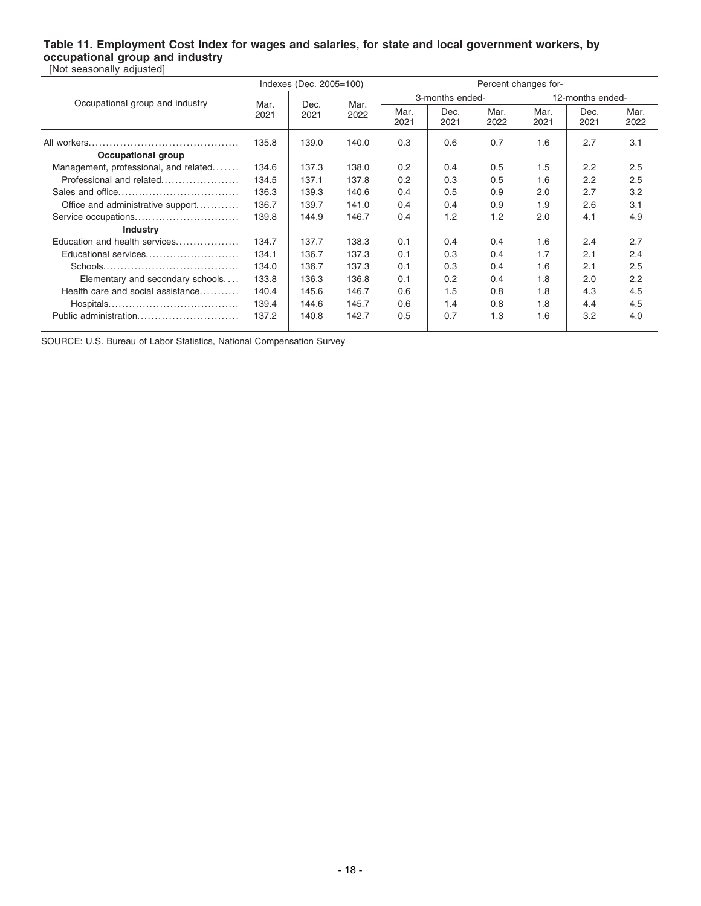#### **Table 11. Employment Cost Index for wages and salaries, for state and local government workers, by occupational group and industry** [Not seasonally adjusted]

|                                       |       | Indexes (Dec. 2005=100) |       | Percent changes for- |              |              |                  |              |              |  |
|---------------------------------------|-------|-------------------------|-------|----------------------|--------------|--------------|------------------|--------------|--------------|--|
| Occupational group and industry       | Mar.  | Dec.                    | Mar.  | 3-months ended-      |              |              | 12-months ended- |              |              |  |
|                                       | 2021  | 2021                    | 2022  | Mar.<br>2021         | Dec.<br>2021 | Mar.<br>2022 | Mar.<br>2021     | Dec.<br>2021 | Mar.<br>2022 |  |
|                                       | 135.8 | 139.0                   | 140.0 | 0.3                  | 0.6          | 0.7          | 1.6              | 2.7          | 3.1          |  |
| Occupational group                    |       |                         |       |                      |              |              |                  |              |              |  |
| Management, professional, and related | 134.6 | 137.3                   | 138.0 | 0.2                  | 0.4          | 0.5          | 1.5              | 2.2          | 2.5          |  |
| Professional and related              | 134.5 | 137.1                   | 137.8 | 0.2                  | 0.3          | 0.5          | 1.6              | 2.2          | 2.5          |  |
|                                       | 136.3 | 139.3                   | 140.6 | 0.4                  | 0.5          | 0.9          | 2.0              | 2.7          | 3.2          |  |
| Office and administrative support     | 136.7 | 139.7                   | 141.0 | 0.4                  | 0.4          | 0.9          | 1.9              | 2.6          | 3.1          |  |
| Service occupations                   | 139.8 | 144.9                   | 146.7 | 0.4                  | 1.2          | 1.2          | 2.0              | 4.1          | 4.9          |  |
| <b>Industry</b>                       |       |                         |       |                      |              |              |                  |              |              |  |
| Education and health services         | 134.7 | 137.7                   | 138.3 | 0.1                  | 0.4          | 0.4          | 1.6              | 2.4          | 2.7          |  |
| Educational services                  | 134.1 | 136.7                   | 137.3 | 0.1                  | 0.3          | 0.4          | 1.7              | 2.1          | 2.4          |  |
|                                       | 134.0 | 136.7                   | 137.3 | 0.1                  | 0.3          | 0.4          | 1.6              | 2.1          | 2.5          |  |
| Elementary and secondary schools      | 133.8 | 136.3                   | 136.8 | 0.1                  | 0.2          | 0.4          | 1.8              | 2.0          | 2.2          |  |
| Health care and social assistance     | 140.4 | 145.6                   | 146.7 | 0.6                  | 1.5          | 0.8          | 1.8              | 4.3          | 4.5          |  |
|                                       | 139.4 | 144.6                   | 145.7 | 0.6                  | 1.4          | 0.8          | 1.8              | 4.4          | 4.5          |  |
| Public administration                 | 137.2 | 140.8                   | 142.7 | 0.5                  | 0.7          | 1.3          | 1.6              | 3.2          | 4.0          |  |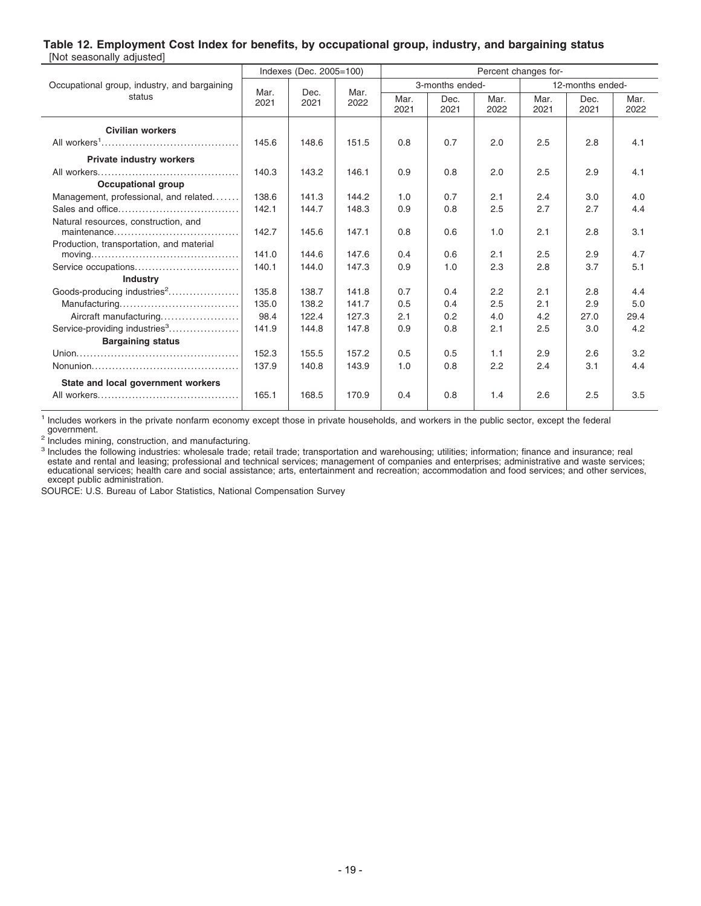### **Table 12. Employment Cost Index for benefits, by occupational group, industry, and bargaining status**

| [Not seasonally adjusted]                                                              |       |                         |       |                      |                 |              |                  |              |              |  |
|----------------------------------------------------------------------------------------|-------|-------------------------|-------|----------------------|-----------------|--------------|------------------|--------------|--------------|--|
|                                                                                        |       | Indexes (Dec. 2005=100) |       | Percent changes for- |                 |              |                  |              |              |  |
| Occupational group, industry, and bargaining                                           | Mar.  | Dec.                    | Mar.  |                      | 3-months ended- |              | 12-months ended- |              |              |  |
| status                                                                                 | 2021  | 2021                    | 2022  | Mar.<br>2021         | Dec.<br>2021    | Mar.<br>2022 | Mar.<br>2021     | Dec.<br>2021 | Mar.<br>2022 |  |
| <b>Civilian workers</b>                                                                |       |                         |       |                      |                 |              |                  |              |              |  |
|                                                                                        | 145.6 | 148.6                   | 151.5 | 0.8                  | 0.7             | 2.0          | 2.5              | 2.8          | 4.1          |  |
| <b>Private industry workers</b>                                                        |       |                         |       |                      |                 |              |                  |              |              |  |
|                                                                                        | 140.3 | 143.2                   | 146.1 | 0.9                  | 0.8             | 2.0          | 2.5              | 2.9          | 4.1          |  |
| <b>Occupational group</b>                                                              |       |                         |       |                      |                 |              |                  |              |              |  |
| Management, professional, and related                                                  | 138.6 | 141.3                   | 144.2 | 1.0                  | 0.7             | 2.1          | 2.4              | 3.0          | 4.0          |  |
|                                                                                        | 142.1 | 144.7                   | 148.3 | 0.9                  | 0.8             | 2.5          | 2.7              | 2.7          | 4.4          |  |
| Natural resources, construction, and                                                   |       |                         |       |                      |                 |              |                  |              |              |  |
|                                                                                        | 142.7 | 145.6                   | 147.1 | 0.8                  | 0.6             | 1.0          | 2.1              | 2.8          | 3.1          |  |
| Production, transportation, and material                                               |       |                         |       |                      |                 |              |                  |              |              |  |
| $moving \dots \dots \dots \dots \dots \dots \dots \dots \dots \dots \dots \dots \dots$ | 141.0 | 144.6                   | 147.6 | 0.4                  | 0.6             | 2.1          | 2.5              | 2.9          | 4.7          |  |
| Service occupations                                                                    | 140.1 | 144.0                   | 147.3 | 0.9                  | 1.0             | 2.3          | 2.8              | 3.7          | 5.1          |  |
| <b>Industry</b>                                                                        |       |                         |       |                      |                 |              |                  |              |              |  |
| Goods-producing industries <sup>2</sup>                                                | 135.8 | 138.7                   | 141.8 | 0.7                  | 0.4             | 2.2          | 2.1              | 2.8          | 4.4          |  |
|                                                                                        | 135.0 | 138.2                   | 141.7 | 0.5                  | 0.4             | 2.5          | 2.1              | 2.9          | 5.0          |  |
| Aircraft manufacturing                                                                 | 98.4  | 122.4                   | 127.3 | 2.1                  | 0.2             | 4.0          | 4.2              | 27.0         | 29.4         |  |
| Service-providing industries <sup>3</sup>                                              | 141.9 | 144.8                   | 147.8 | 0.9                  | 0.8             | 2.1          | 2.5              | 3.0          | 4.2          |  |
| <b>Bargaining status</b>                                                               |       |                         |       |                      |                 |              |                  |              |              |  |
|                                                                                        | 152.3 | 155.5                   | 157.2 | 0.5                  | 0.5             | 1.1          | 2.9              | 2.6          | 3.2          |  |
|                                                                                        | 137.9 | 140.8                   | 143.9 | 1.0                  | 0.8             | 2.2          | 2.4              | 3.1          | 4.4          |  |
| State and local government workers                                                     |       |                         |       |                      |                 |              |                  |              |              |  |
|                                                                                        | 165.1 | 168.5                   | 170.9 | 0.4                  | 0.8             | 1.4          | 2.6              | 2.5          | 3.5          |  |

<sup>1</sup> Includes workers in the private nonfarm economy except those in private households, and workers in the public sector, except the federal government.

<sup>2</sup> Includes mining, construction, and manufacturing.<br><sup>3</sup> Includes the following industries: wholesale trade; retail trade; transportation and warehousing; utilities; information; finance and insurance; real<br>estate and ren educational services; health care and social assistance; arts, entertainment and recreation; accommodation and food services; and other services, except public administration.